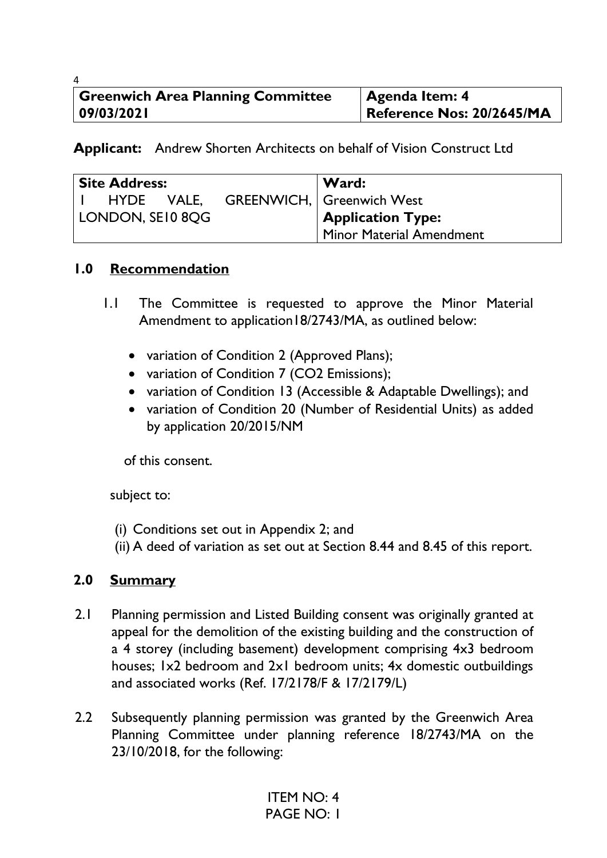| 4                                        |                           |
|------------------------------------------|---------------------------|
| <b>Greenwich Area Planning Committee</b> | Agenda Item: 4            |
| 09/03/202                                | Reference Nos: 20/2645/MA |

**Applicant:** Andrew Shorten Architects on behalf of Vision Construct Ltd

| <b>Site Address:</b> |  | Ward:                              |
|----------------------|--|------------------------------------|
| HYDE VALE,           |  | <b>GREENWICH,   Greenwich West</b> |
| LONDON, SEI0 8OG     |  | <b>Application Type:</b>           |
|                      |  | Minor Material Amendment           |

#### **1.0 Recommendation**

- 1.1 The Committee is requested to approve the Minor Material Amendment to application18/2743/MA, as outlined below:
	- variation of Condition 2 (Approved Plans);
	- variation of Condition 7 (CO2 Emissions);
	- variation of Condition 13 (Accessible & Adaptable Dwellings); and
	- variation of Condition 20 (Number of Residential Units) as added by application 20/2015/NM

of this consent.

subject to:

- (i) Conditions set out in Appendix 2; and
- (ii) A deed of variation as set out at Section 8.44 and 8.45 of this report.

# **2.0 Summary**

- 2.1 Planning permission and Listed Building consent was originally granted at appeal for the demolition of the existing building and the construction of a 4 storey (including basement) development comprising 4x3 bedroom houses; 1x2 bedroom and 2x1 bedroom units; 4x domestic outbuildings and associated works (Ref. 17/2178/F & 17/2179/L)
- 2.2 Subsequently planning permission was granted by the Greenwich Area Planning Committee under planning reference 18/2743/MA on the 23/10/2018, for the following: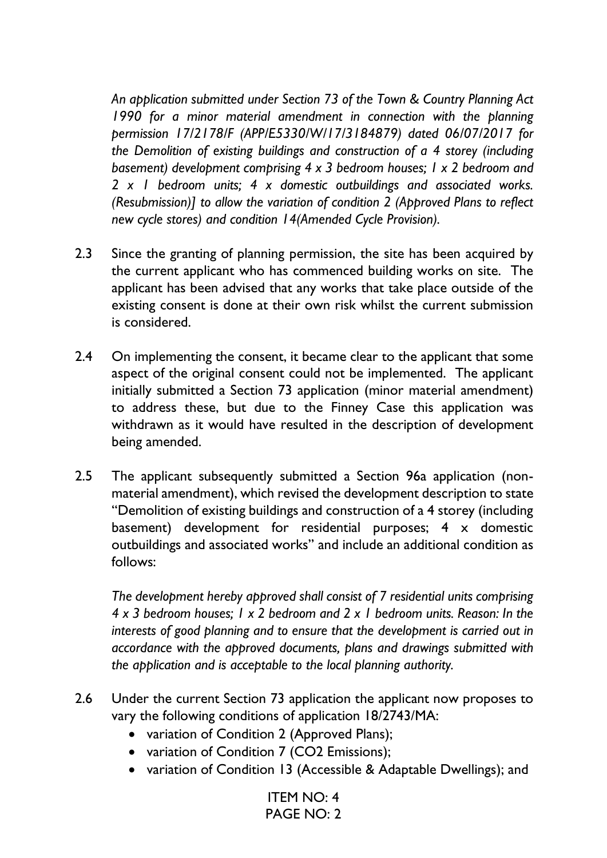*An application submitted under Section 73 of the Town & Country Planning Act 1990 for a minor material amendment in connection with the planning permission 17/2178/F (APP/E5330/W/17/3184879) dated 06/07/2017 for the Demolition of existing buildings and construction of a 4 storey (including basement) development comprising 4 x 3 bedroom houses; 1 x 2 bedroom and 2 x 1 bedroom units; 4 x domestic outbuildings and associated works. (Resubmission)] to allow the variation of condition 2 (Approved Plans to reflect new cycle stores) and condition 14(Amended Cycle Provision).* 

- 2.3 Since the granting of planning permission, the site has been acquired by the current applicant who has commenced building works on site. The applicant has been advised that any works that take place outside of the existing consent is done at their own risk whilst the current submission is considered.
- 2.4 On implementing the consent, it became clear to the applicant that some aspect of the original consent could not be implemented. The applicant initially submitted a Section 73 application (minor material amendment) to address these, but due to the Finney Case this application was withdrawn as it would have resulted in the description of development being amended.
- 2.5 The applicant subsequently submitted a Section 96a application (nonmaterial amendment), which revised the development description to state "Demolition of existing buildings and construction of a 4 storey (including basement) development for residential purposes; 4 x domestic outbuildings and associated works" and include an additional condition as follows:

*The development hereby approved shall consist of 7 residential units comprising 4 x 3 bedroom houses; 1 x 2 bedroom and 2 x 1 bedroom units. Reason: In the interests of good planning and to ensure that the development is carried out in accordance with the approved documents, plans and drawings submitted with the application and is acceptable to the local planning authority.* 

- 2.6 Under the current Section 73 application the applicant now proposes to vary the following conditions of application 18/2743/MA:
	- variation of Condition 2 (Approved Plans);
	- variation of Condition 7 (CO2 Emissions);
	- variation of Condition 13 (Accessible & Adaptable Dwellings); and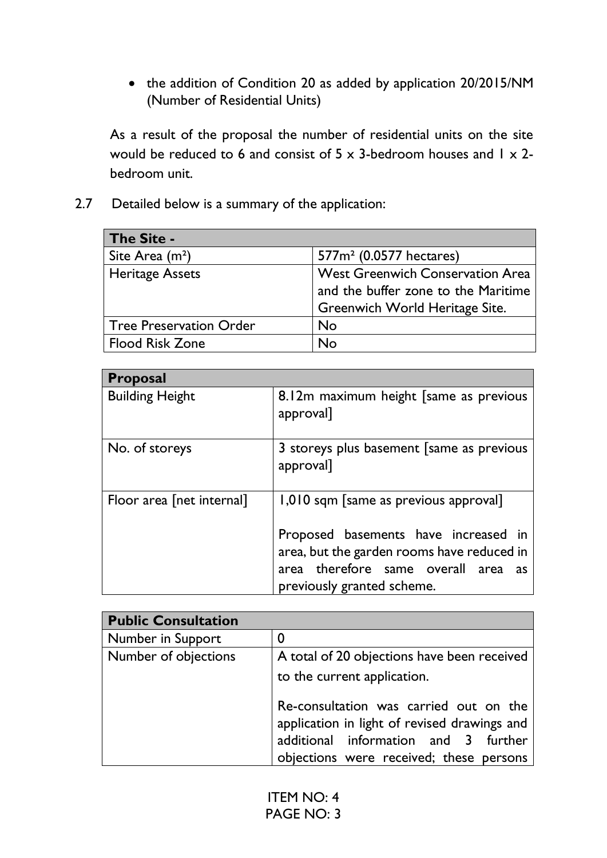• the addition of Condition 20 as added by application 20/2015/NM (Number of Residential Units)

As a result of the proposal the number of residential units on the site would be reduced to 6 and consist of  $5 \times 3$ -bedroom houses and  $1 \times 2$ bedroom unit.

2.7 Detailed below is a summary of the application:

| <b>The Site -</b>              |                                                                                                                  |
|--------------------------------|------------------------------------------------------------------------------------------------------------------|
| Site Area $(m2)$               | 577m <sup>2</sup> (0.0577 hectares)                                                                              |
| <b>Heritage Assets</b>         | <b>West Greenwich Conservation Area</b><br>and the buffer zone to the Maritime<br>Greenwich World Heritage Site. |
| <b>Tree Preservation Order</b> | No                                                                                                               |
| <b>Flood Risk Zone</b>         | No                                                                                                               |

| <b>Proposal</b>           |                                                                                                                      |
|---------------------------|----------------------------------------------------------------------------------------------------------------------|
| <b>Building Height</b>    | 8.12m maximum height [same as previous<br>approval]                                                                  |
| No. of storeys            | 3 storeys plus basement [same as previous]<br>approval]                                                              |
| Floor area [net internal] | 1,010 sqm [same as previous approval]<br>Proposed basements have increased in                                        |
|                           | area, but the garden rooms have reduced in<br>area therefore same overall area<br>as -<br>previously granted scheme. |

| <b>Public Consultation</b> |                                                                                                                                                                           |
|----------------------------|---------------------------------------------------------------------------------------------------------------------------------------------------------------------------|
| Number in Support          |                                                                                                                                                                           |
| Number of objections       | A total of 20 objections have been received<br>to the current application.                                                                                                |
|                            | Re-consultation was carried out on the<br>application in light of revised drawings and<br>additional information and 3 further<br>objections were received; these persons |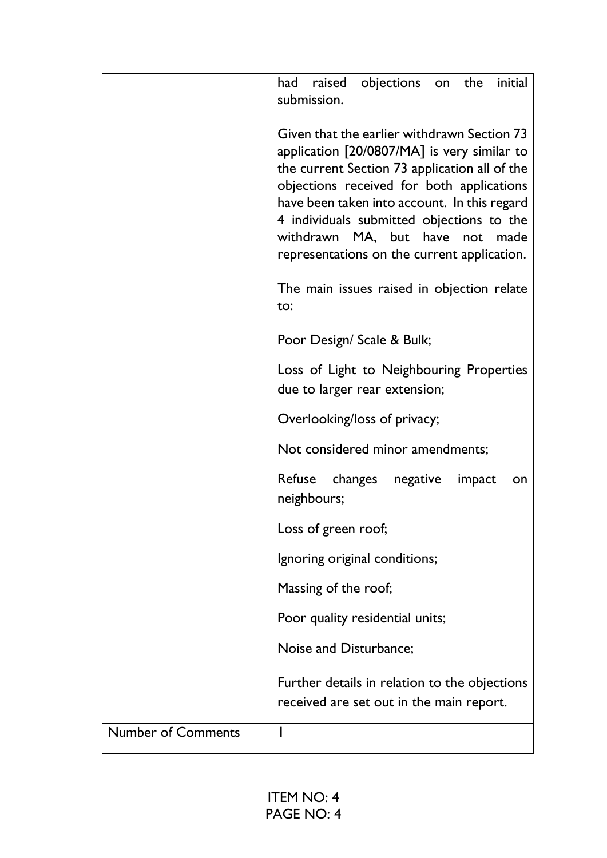|                           | objections on the initial<br>had raised<br>submission.                                                                                                                                                                                                                                                                                                                  |
|---------------------------|-------------------------------------------------------------------------------------------------------------------------------------------------------------------------------------------------------------------------------------------------------------------------------------------------------------------------------------------------------------------------|
|                           | Given that the earlier withdrawn Section 73<br>application [20/0807/MA] is very similar to<br>the current Section 73 application all of the<br>objections received for both applications<br>have been taken into account. In this regard<br>4 individuals submitted objections to the<br>withdrawn MA, but have not made<br>representations on the current application. |
|                           | The main issues raised in objection relate<br>to:                                                                                                                                                                                                                                                                                                                       |
|                           | Poor Design/ Scale & Bulk;                                                                                                                                                                                                                                                                                                                                              |
|                           | Loss of Light to Neighbouring Properties<br>due to larger rear extension;                                                                                                                                                                                                                                                                                               |
|                           | Overlooking/loss of privacy;                                                                                                                                                                                                                                                                                                                                            |
|                           | Not considered minor amendments;                                                                                                                                                                                                                                                                                                                                        |
|                           | Refuse changes negative<br>impact<br>on<br>neighbours;                                                                                                                                                                                                                                                                                                                  |
|                           | Loss of green roof;                                                                                                                                                                                                                                                                                                                                                     |
|                           | Ignoring original conditions;                                                                                                                                                                                                                                                                                                                                           |
|                           | Massing of the roof;                                                                                                                                                                                                                                                                                                                                                    |
|                           | Poor quality residential units;                                                                                                                                                                                                                                                                                                                                         |
|                           | Noise and Disturbance;                                                                                                                                                                                                                                                                                                                                                  |
|                           | Further details in relation to the objections<br>received are set out in the main report.                                                                                                                                                                                                                                                                               |
| <b>Number of Comments</b> |                                                                                                                                                                                                                                                                                                                                                                         |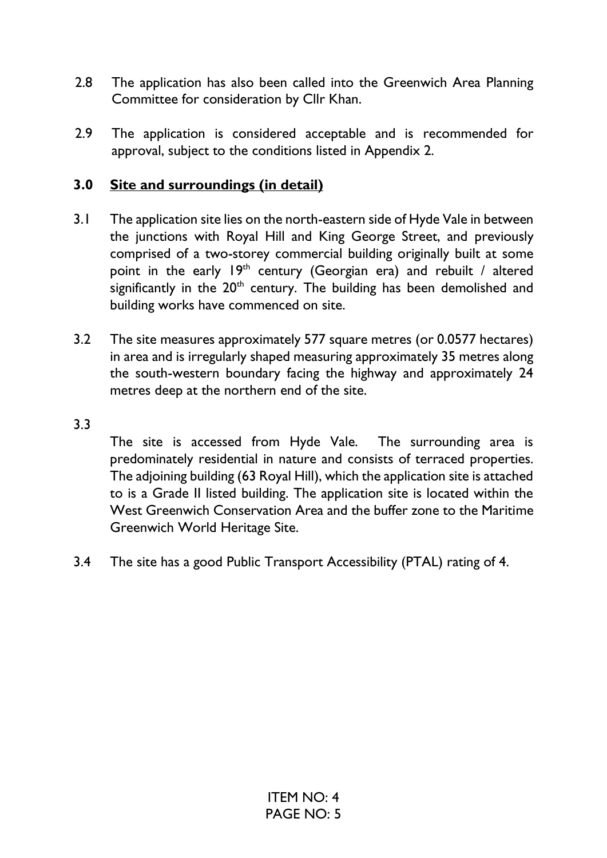- 2.8 The application has also been called into the Greenwich Area Planning Committee for consideration by Cllr Khan.
- 2.9 The application is considered acceptable and is recommended for approval, subject to the conditions listed in Appendix 2.

# **3.0 Site and surroundings (in detail)**

- 3.1 The application site lies on the north-eastern side of Hyde Vale in between the junctions with Royal Hill and King George Street, and previously comprised of a two-storey commercial building originally built at some point in the early  $19<sup>th</sup>$  century (Georgian era) and rebuilt / altered significantly in the  $20<sup>th</sup>$  century. The building has been demolished and building works have commenced on site.
- 3.2 The site measures approximately 577 square metres (or 0.0577 hectares) in area and is irregularly shaped measuring approximately 35 metres along the south-western boundary facing the highway and approximately 24 metres deep at the northern end of the site.

### 3.3

The site is accessed from Hyde Vale. The surrounding area is predominately residential in nature and consists of terraced properties. The adjoining building (63 Royal Hill), which the application site is attached to is a Grade II listed building. The application site is located within the West Greenwich Conservation Area and the buffer zone to the Maritime Greenwich World Heritage Site.

3.4 The site has a good Public Transport Accessibility (PTAL) rating of 4.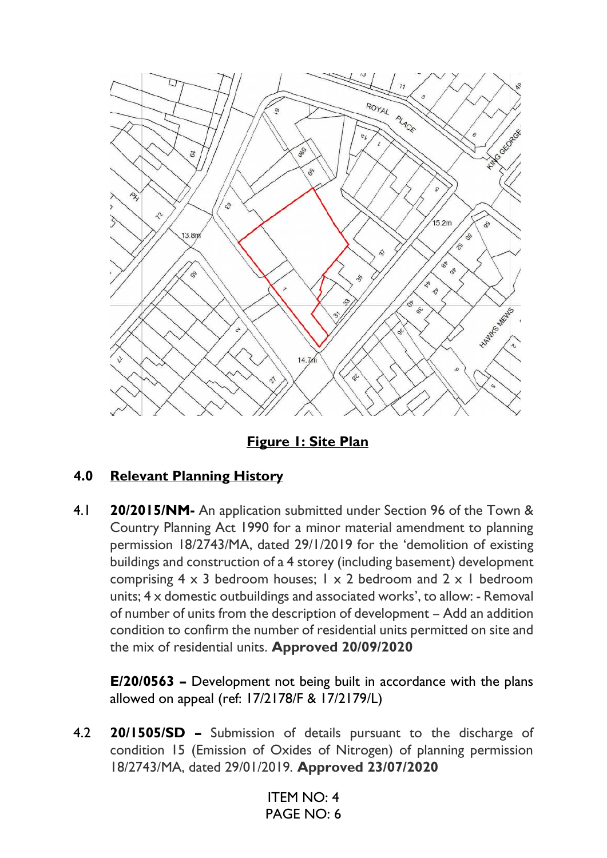

**Figure 1: Site Plan** 

# **4.0 Relevant Planning History**

4.1 **20/2015/NM-** An application submitted under Section 96 of the Town & Country Planning Act 1990 for a minor material amendment to planning permission 18/2743/MA, dated 29/1/2019 for the 'demolition of existing buildings and construction of a 4 storey (including basement) development comprising  $4 \times 3$  bedroom houses;  $1 \times 2$  bedroom and  $2 \times 1$  bedroom units; 4 x domestic outbuildings and associated works', to allow: - Removal of number of units from the description of development – Add an addition condition to confirm the number of residential units permitted on site and the mix of residential units. **Approved 20/09/2020**

**E/20/0563 –** Development not being built in accordance with the plans allowed on appeal (ref: 17/2178/F & 17/2179/L)

4.2 **20/1505/SD –** Submission of details pursuant to the discharge of condition 15 (Emission of Oxides of Nitrogen) of planning permission 18/2743/MA, dated 29/01/2019. **Approved 23/07/2020**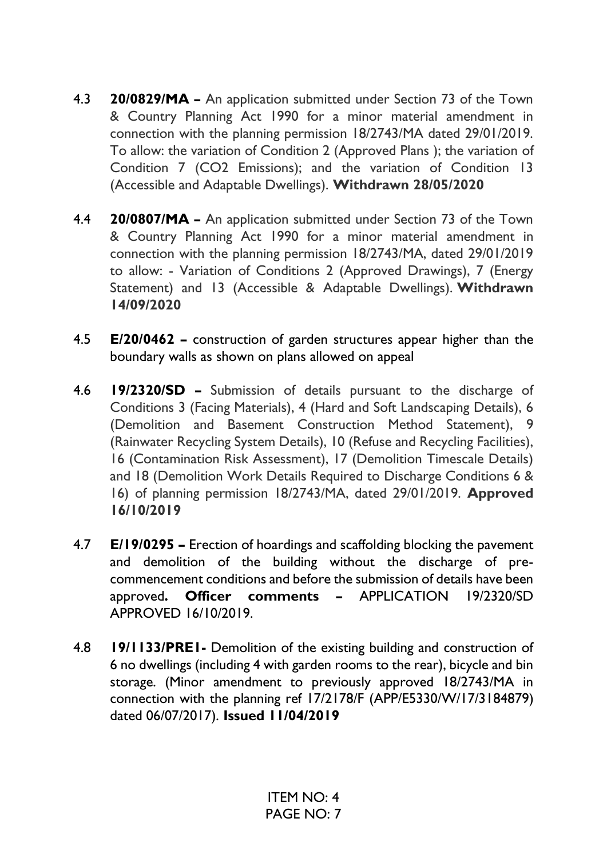- 4.3 **20/0829/MA –** An application submitted under Section 73 of the Town & Country Planning Act 1990 for a minor material amendment in connection with the planning permission 18/2743/MA dated 29/01/2019. To allow: the variation of Condition 2 (Approved Plans ); the variation of Condition 7 (CO2 Emissions); and the variation of Condition 13 (Accessible and Adaptable Dwellings). **Withdrawn 28/05/2020**
- 4.4 **20/0807/MA –** An application submitted under Section 73 of the Town & Country Planning Act 1990 for a minor material amendment in connection with the planning permission 18/2743/MA, dated 29/01/2019 to allow: - Variation of Conditions 2 (Approved Drawings), 7 (Energy Statement) and 13 (Accessible & Adaptable Dwellings). **Withdrawn 14/09/2020**
- 4.5 **E/20/0462 –** construction of garden structures appear higher than the boundary walls as shown on plans allowed on appeal
- 4.6 **19/2320/SD –** Submission of details pursuant to the discharge of Conditions 3 (Facing Materials), 4 (Hard and Soft Landscaping Details), 6 (Demolition and Basement Construction Method Statement), 9 (Rainwater Recycling System Details), 10 (Refuse and Recycling Facilities), 16 (Contamination Risk Assessment), 17 (Demolition Timescale Details) and 18 (Demolition Work Details Required to Discharge Conditions 6 & 16) of planning permission 18/2743/MA, dated 29/01/2019. **Approved 16/10/2019**
- 4.7 **E/19/0295 –** Erection of hoardings and scaffolding blocking the pavement and demolition of the building without the discharge of precommencement conditions and before the submission of details have been approved**. Officer comments –** APPLICATION 19/2320/SD APPROVED 16/10/2019.
- 4.8 **19/1133/PRE1-** Demolition of the existing building and construction of 6 no dwellings (including 4 with garden rooms to the rear), bicycle and bin storage. (Minor amendment to previously approved 18/2743/MA in connection with the planning ref 17/2178/F (APP/E5330/W/17/3184879) dated 06/07/2017). **Issued 11/04/2019**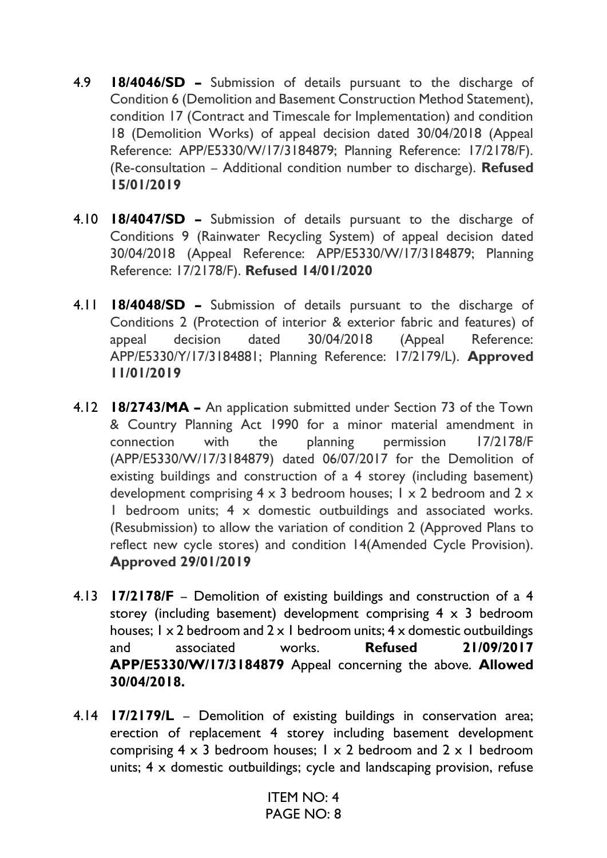- 4.9 **18/4046/SD –** Submission of details pursuant to the discharge of Condition 6 (Demolition and Basement Construction Method Statement), condition 17 (Contract and Timescale for Implementation) and condition 18 (Demolition Works) of appeal decision dated 30/04/2018 (Appeal Reference: APP/E5330/W/17/3184879; Planning Reference: 17/2178/F). (Re-consultation – Additional condition number to discharge). **Refused 15/01/2019**
- 4.10 **18/4047/SD –** Submission of details pursuant to the discharge of Conditions 9 (Rainwater Recycling System) of appeal decision dated 30/04/2018 (Appeal Reference: APP/E5330/W/17/3184879; Planning Reference: 17/2178/F). **Refused 14/01/2020**
- 4.11 **18/4048/SD –** Submission of details pursuant to the discharge of Conditions 2 (Protection of interior & exterior fabric and features) of appeal decision dated 30/04/2018 (Appeal Reference: APP/E5330/Y/17/3184881; Planning Reference: 17/2179/L). **Approved 11/01/2019**
- 4.12 **18/2743/MA –** An application submitted under Section 73 of the Town & Country Planning Act 1990 for a minor material amendment in connection with the planning permission 17/2178/F (APP/E5330/W/17/3184879) dated 06/07/2017 for the Demolition of existing buildings and construction of a 4 storey (including basement) development comprising  $4 \times 3$  bedroom houses; 1  $\times$  2 bedroom and 2  $\times$ 1 bedroom units; 4 x domestic outbuildings and associated works. (Resubmission) to allow the variation of condition 2 (Approved Plans to reflect new cycle stores) and condition 14(Amended Cycle Provision). **Approved 29/01/2019**
- 4.13 **17/2178/F** Demolition of existing buildings and construction of a 4 storey (including basement) development comprising  $4 \times 3$  bedroom houses:  $1 \times 2$  bedroom and  $2 \times 1$  bedroom units:  $4 \times$  domestic outbuildings and associated works. **Refused 21/09/2017 APP/E5330/W/17/3184879** Appeal concerning the above. **Allowed 30/04/2018.**
- 4.14 **17/2179/L** Demolition of existing buildings in conservation area; erection of replacement 4 storey including basement development comprising  $4 \times 3$  bedroom houses;  $1 \times 2$  bedroom and  $2 \times 1$  bedroom units; 4 x domestic outbuildings; cycle and landscaping provision, refuse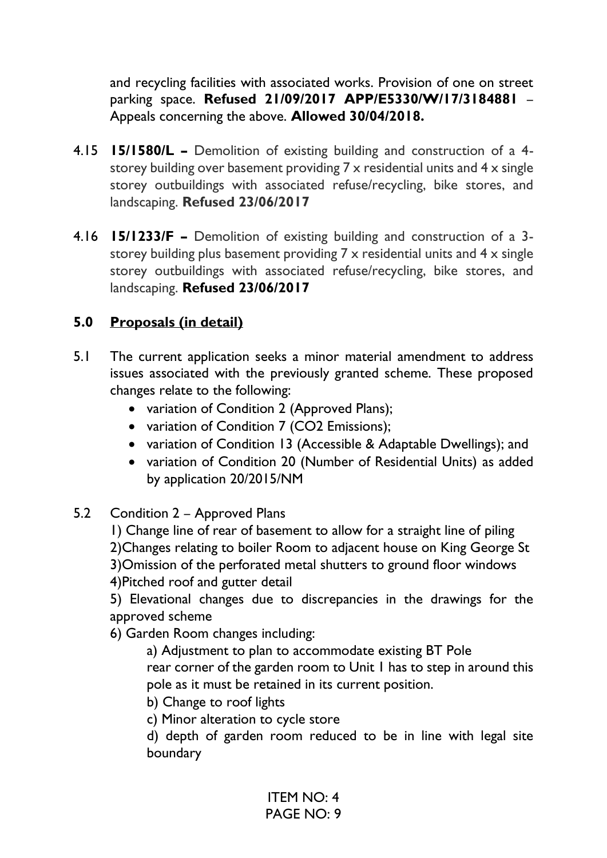and recycling facilities with associated works. Provision of one on street parking space. **Refused 21/09/2017 APP/E5330/W/17/3184881** – Appeals concerning the above. **Allowed 30/04/2018.** 

- 4.15 **15/1580/L –** Demolition of existing building and construction of a 4 storey building over basement providing 7 x residential units and 4 x single storey outbuildings with associated refuse/recycling, bike stores, and landscaping. **Refused 23/06/2017**
- 4.16 **15/1233/F –** Demolition of existing building and construction of a 3 storey building plus basement providing 7 x residential units and 4 x single storey outbuildings with associated refuse/recycling, bike stores, and landscaping. **Refused 23/06/2017**

# **5.0 Proposals (in detail)**

- 5.1 The current application seeks a minor material amendment to address issues associated with the previously granted scheme. These proposed changes relate to the following:
	- variation of Condition 2 (Approved Plans);
	- variation of Condition 7 (CO2 Emissions);
	- variation of Condition 13 (Accessible & Adaptable Dwellings); and
	- variation of Condition 20 (Number of Residential Units) as added by application 20/2015/NM
- 5.2 Condition 2 Approved Plans
	- 1) Change line of rear of basement to allow for a straight line of piling 2)Changes relating to boiler Room to adjacent house on King George St 3)Omission of the perforated metal shutters to ground floor windows 4)Pitched roof and gutter detail

5) Elevational changes due to discrepancies in the drawings for the approved scheme

6) Garden Room changes including:

 a) Adjustment to plan to accommodate existing BT Pole rear corner of the garden room to Unit 1 has to step in around this pole as it must be retained in its current position.

b) Change to roof lights

c) Minor alteration to cycle store

d) depth of garden room reduced to be in line with legal site boundary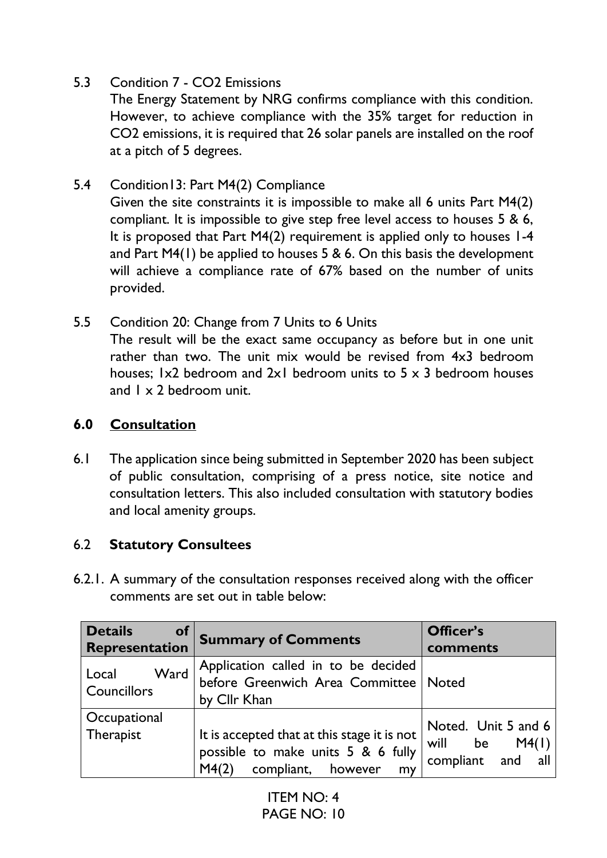# 5.3 Condition 7 - CO2 Emissions

The Energy Statement by NRG confirms compliance with this condition. However, to achieve compliance with the 35% target for reduction in CO2 emissions, it is required that 26 solar panels are installed on the roof at a pitch of 5 degrees.

### 5.4 Condition13: Part M4(2) Compliance

Given the site constraints it is impossible to make all 6 units Part M4(2) compliant. It is impossible to give step free level access to houses 5 & 6, It is proposed that Part M4(2) requirement is applied only to houses 1-4 and Part M4(1) be applied to houses 5 & 6. On this basis the development will achieve a compliance rate of 67% based on the number of units provided.

5.5 Condition 20: Change from 7 Units to 6 Units The result will be the exact same occupancy as before but in one unit rather than two. The unit mix would be revised from 4x3 bedroom houses; 1x2 bedroom and 2x1 bedroom units to 5 x 3 bedroom houses and 1 x 2 bedroom unit.

# **6.0 Consultation**

6.1 The application since being submitted in September 2020 has been subject of public consultation, comprising of a press notice, site notice and consultation letters. This also included consultation with statutory bodies and local amenity groups.

# 6.2 **Statutory Consultees**

6.2.1. A summary of the consultation responses received along with the officer comments are set out in table below:

| <b>Details</b><br><b>of</b><br>Representation | <b>Summary of Comments</b>                                                                                             | Officer's<br>comments                                          |
|-----------------------------------------------|------------------------------------------------------------------------------------------------------------------------|----------------------------------------------------------------|
| Ward<br>Local<br>Councillors                  | Application called in to be decided<br>before Greenwich Area Committee Noted<br>by Cllr Khan                           |                                                                |
| Occupational<br>Therapist                     | It is accepted that at this stage it is not<br>possible to make units 5 & 6 fully<br>compliant, however<br>M4(2)<br>my | Noted. Unit 5 and 6<br>be $M4(1)$<br>will<br>compliant and all |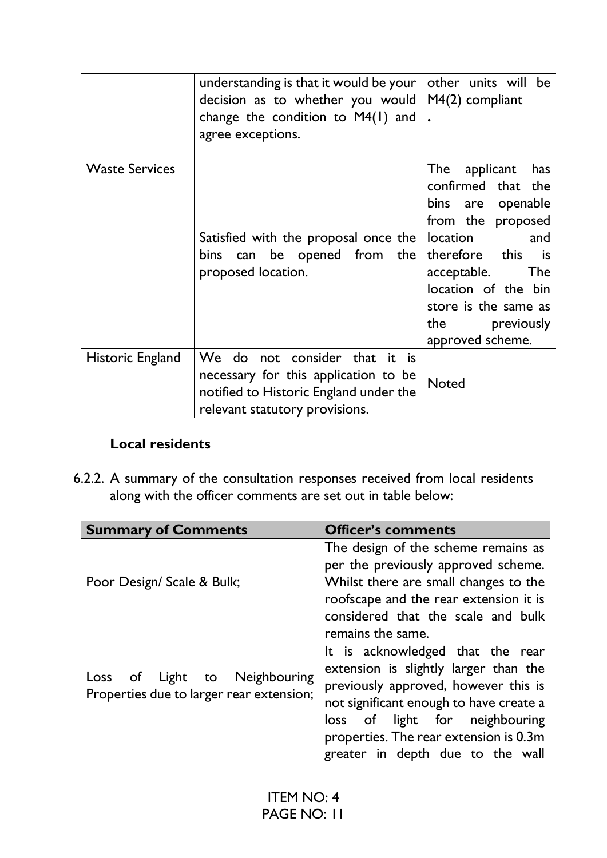|                       | understanding is that it would be your $\vert$<br>decision as to whether you would<br>change the condition to $M4(1)$ and<br>agree exceptions.    | other units will be<br>$M(2)$ compliant                                                                                                                                                                                                                 |
|-----------------------|---------------------------------------------------------------------------------------------------------------------------------------------------|---------------------------------------------------------------------------------------------------------------------------------------------------------------------------------------------------------------------------------------------------------|
| <b>Waste Services</b> | Satisfied with the proposal once the<br>bins can be opened from the<br>proposed location.                                                         | The<br>applicant<br>has<br>confirmed that the<br>bins are openable<br>from the proposed<br>location<br>and<br>therefore this<br>is is<br>acceptable.<br><b>The</b><br>location of the bin<br>store is the same as<br>the previously<br>approved scheme. |
| Historic England      | We do not consider that it is<br>necessary for this application to be<br>notified to Historic England under the<br>relevant statutory provisions. | <b>Noted</b>                                                                                                                                                                                                                                            |

# **Local residents**

6.2.2. A summary of the consultation responses received from local residents along with the officer comments are set out in table below:

| <b>Summary of Comments</b>                                                | <b>Officer's comments</b>               |
|---------------------------------------------------------------------------|-----------------------------------------|
|                                                                           | The design of the scheme remains as     |
|                                                                           | per the previously approved scheme.     |
| Poor Design/ Scale & Bulk;                                                | Whilst there are small changes to the   |
|                                                                           | roofscape and the rear extension it is  |
|                                                                           | considered that the scale and bulk      |
|                                                                           | remains the same.                       |
|                                                                           | It is acknowledged that the rear        |
| Loss of Light to Neighbouring<br>Properties due to larger rear extension; | extension is slightly larger than the   |
|                                                                           | previously approved, however this is    |
|                                                                           | not significant enough to have create a |
|                                                                           | of light for neighbouring<br>loss       |
|                                                                           | properties. The rear extension is 0.3m  |
|                                                                           | greater in depth due to the wall        |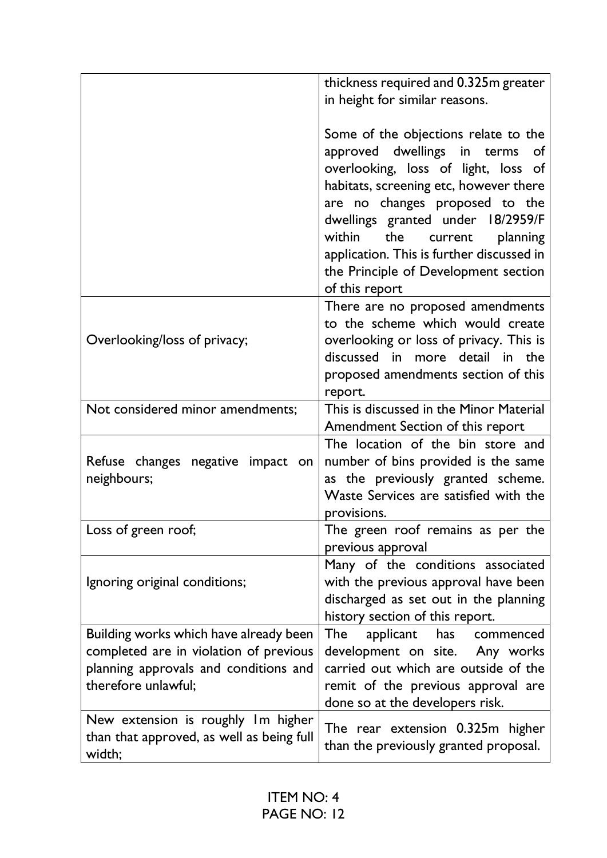|                                                                                                                                                  | thickness required and 0.325m greater<br>in height for similar reasons.                                                                                                                                                                                                                                                                                                                 |
|--------------------------------------------------------------------------------------------------------------------------------------------------|-----------------------------------------------------------------------------------------------------------------------------------------------------------------------------------------------------------------------------------------------------------------------------------------------------------------------------------------------------------------------------------------|
|                                                                                                                                                  | Some of the objections relate to the<br>approved dwellings in terms<br><b>of</b><br>overlooking, loss of light, loss of<br>habitats, screening etc, however there<br>are no changes proposed to the<br>dwellings granted under 18/2959/F<br>within<br>the<br>planning<br>current<br>application. This is further discussed in<br>the Principle of Development section<br>of this report |
| Overlooking/loss of privacy;                                                                                                                     | There are no proposed amendments<br>to the scheme which would create<br>overlooking or loss of privacy. This is<br>discussed in more detail in the<br>proposed amendments section of this<br>report.                                                                                                                                                                                    |
| Not considered minor amendments;                                                                                                                 | This is discussed in the Minor Material<br>Amendment Section of this report                                                                                                                                                                                                                                                                                                             |
| Refuse changes negative impact on<br>neighbours;                                                                                                 | The location of the bin store and<br>number of bins provided is the same<br>as the previously granted scheme.<br>Waste Services are satisfied with the<br>provisions.                                                                                                                                                                                                                   |
| Loss of green roof;                                                                                                                              | The green roof remains as per the<br>previous approval                                                                                                                                                                                                                                                                                                                                  |
| Ignoring original conditions;                                                                                                                    | Many of the conditions associated<br>with the previous approval have been<br>discharged as set out in the planning<br>history section of this report.                                                                                                                                                                                                                                   |
| Building works which have already been<br>completed are in violation of previous<br>planning approvals and conditions and<br>therefore unlawful; | The<br>applicant<br>has<br>commenced<br>development on site. Any works<br>carried out which are outside of the<br>remit of the previous approval are<br>done so at the developers risk.                                                                                                                                                                                                 |
| New extension is roughly Im higher<br>than that approved, as well as being full<br>width;                                                        | The rear extension 0.325m higher<br>than the previously granted proposal.                                                                                                                                                                                                                                                                                                               |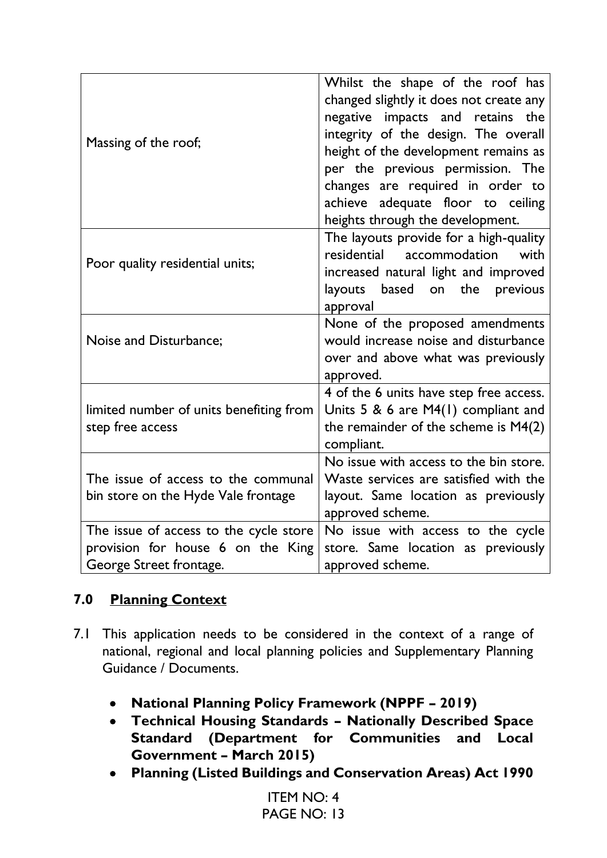| Massing of the roof;                                                                                   | Whilst the shape of the roof has<br>changed slightly it does not create any<br>negative impacts and retains the<br>integrity of the design. The overall<br>height of the development remains as<br>per the previous permission. The<br>changes are required in order to<br>achieve adequate floor to ceiling<br>heights through the development. |
|--------------------------------------------------------------------------------------------------------|--------------------------------------------------------------------------------------------------------------------------------------------------------------------------------------------------------------------------------------------------------------------------------------------------------------------------------------------------|
| Poor quality residential units;                                                                        | The layouts provide for a high-quality<br>residential<br>accommodation<br>with<br>increased natural light and improved<br>based on the<br>layouts<br>previous<br>approval                                                                                                                                                                        |
| Noise and Disturbance;                                                                                 | None of the proposed amendments<br>would increase noise and disturbance<br>over and above what was previously<br>approved.                                                                                                                                                                                                                       |
| limited number of units benefiting from<br>step free access                                            | 4 of the 6 units have step free access.<br>Units $5 & 6$ are M4(1) compliant and<br>the remainder of the scheme is $M4(2)$<br>compliant.                                                                                                                                                                                                         |
| The issue of access to the communal<br>bin store on the Hyde Vale frontage                             | No issue with access to the bin store.<br>Waste services are satisfied with the<br>layout. Same location as previously<br>approved scheme.                                                                                                                                                                                                       |
| The issue of access to the cycle store<br>provision for house 6 on the King<br>George Street frontage. | No issue with access to the cycle<br>store. Same location as previously<br>approved scheme.                                                                                                                                                                                                                                                      |

# **7.0 Planning Context**

- 7.1 This application needs to be considered in the context of a range of national, regional and local planning policies and Supplementary Planning Guidance / Documents.
	- **National Planning Policy Framework (NPPF – 2019)**
	- **Technical Housing Standards – Nationally Described Space Standard (Department for Communities and Local Government – March 2015)**
	- **Planning (Listed Buildings and Conservation Areas) Act 1990**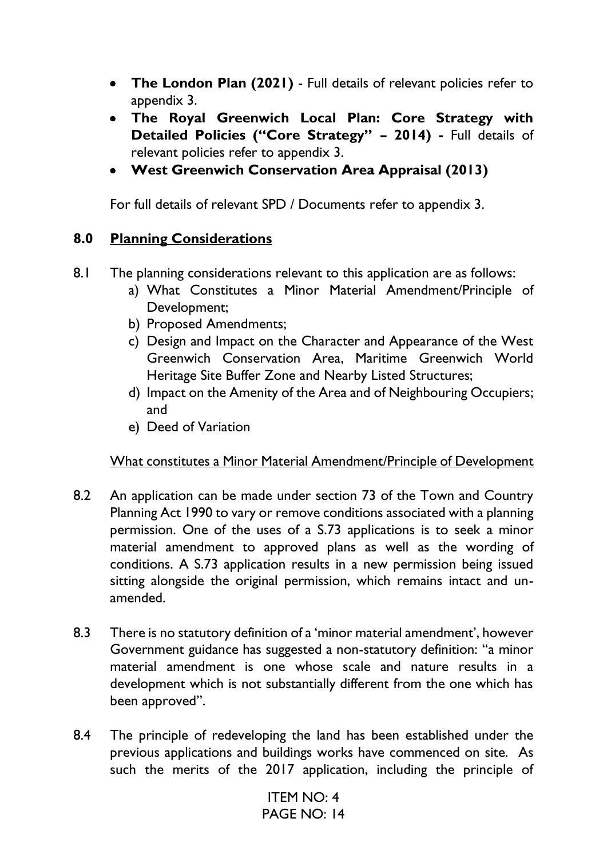- **The London Plan (2021)** Full details of relevant policies refer to appendix 3.
- **The Royal Greenwich Local Plan: Core Strategy with Detailed Policies ("Core Strategy" – 2014) -** Full details of relevant policies refer to appendix 3.
- **West Greenwich Conservation Area Appraisal (2013)**

For full details of relevant SPD / Documents refer to appendix 3.

# **8.0 Planning Considerations**

- 8.1 The planning considerations relevant to this application are as follows:
	- a) What Constitutes a Minor Material Amendment/Principle of Development;
	- b) Proposed Amendments;
	- c) Design and Impact on the Character and Appearance of the West Greenwich Conservation Area, Maritime Greenwich World Heritage Site Buffer Zone and Nearby Listed Structures;
	- d) Impact on the Amenity of the Area and of Neighbouring Occupiers; and
	- e) Deed of Variation

# What constitutes a Minor Material Amendment/Principle of Development

- 8.2 An application can be made under section 73 of the Town and Country Planning Act 1990 to vary or remove conditions associated with a planning permission. One of the uses of a S.73 applications is to seek a minor material amendment to approved plans as well as the wording of conditions. A S.73 application results in a new permission being issued sitting alongside the original permission, which remains intact and unamended.
- 8.3 There is no statutory definition of a 'minor material amendment', however Government guidance has suggested a non-statutory definition: ''a minor material amendment is one whose scale and nature results in a development which is not substantially different from the one which has been approved''.
- 8.4 The principle of redeveloping the land has been established under the previous applications and buildings works have commenced on site. As such the merits of the 2017 application, including the principle of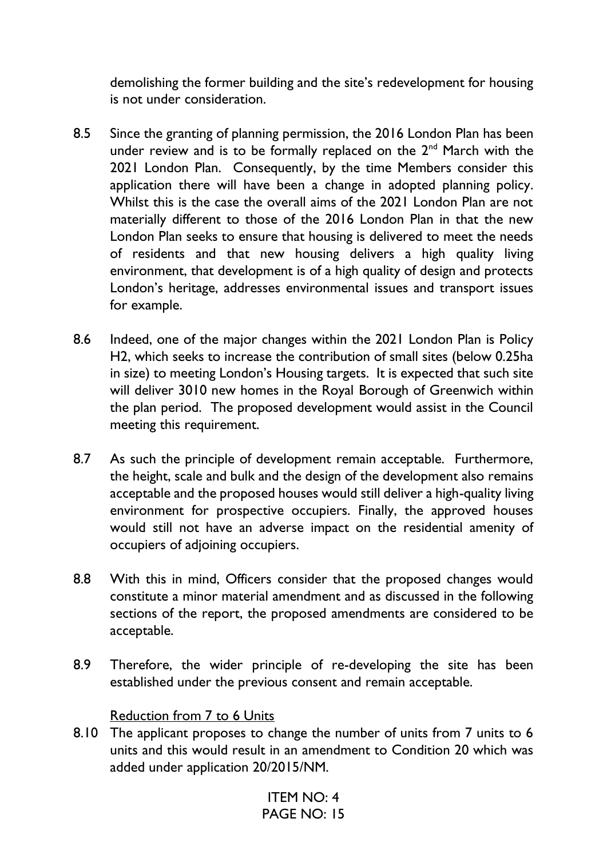demolishing the former building and the site's redevelopment for housing is not under consideration.

- 8.5 Since the granting of planning permission, the 2016 London Plan has been under review and is to be formally replaced on the 2<sup>nd</sup> March with the 2021 London Plan. Consequently, by the time Members consider this application there will have been a change in adopted planning policy. Whilst this is the case the overall aims of the 2021 London Plan are not materially different to those of the 2016 London Plan in that the new London Plan seeks to ensure that housing is delivered to meet the needs of residents and that new housing delivers a high quality living environment, that development is of a high quality of design and protects London's heritage, addresses environmental issues and transport issues for example.
- 8.6 Indeed, one of the major changes within the 2021 London Plan is Policy H2, which seeks to increase the contribution of small sites (below 0.25ha in size) to meeting London's Housing targets. It is expected that such site will deliver 3010 new homes in the Royal Borough of Greenwich within the plan period. The proposed development would assist in the Council meeting this requirement.
- 8.7 As such the principle of development remain acceptable. Furthermore, the height, scale and bulk and the design of the development also remains acceptable and the proposed houses would still deliver a high-quality living environment for prospective occupiers. Finally, the approved houses would still not have an adverse impact on the residential amenity of occupiers of adjoining occupiers.
- 8.8 With this in mind, Officers consider that the proposed changes would constitute a minor material amendment and as discussed in the following sections of the report, the proposed amendments are considered to be acceptable.
- 8.9 Therefore, the wider principle of re-developing the site has been established under the previous consent and remain acceptable.

#### Reduction from 7 to 6 Units

8.10 The applicant proposes to change the number of units from 7 units to 6 units and this would result in an amendment to Condition 20 which was added under application 20/2015/NM.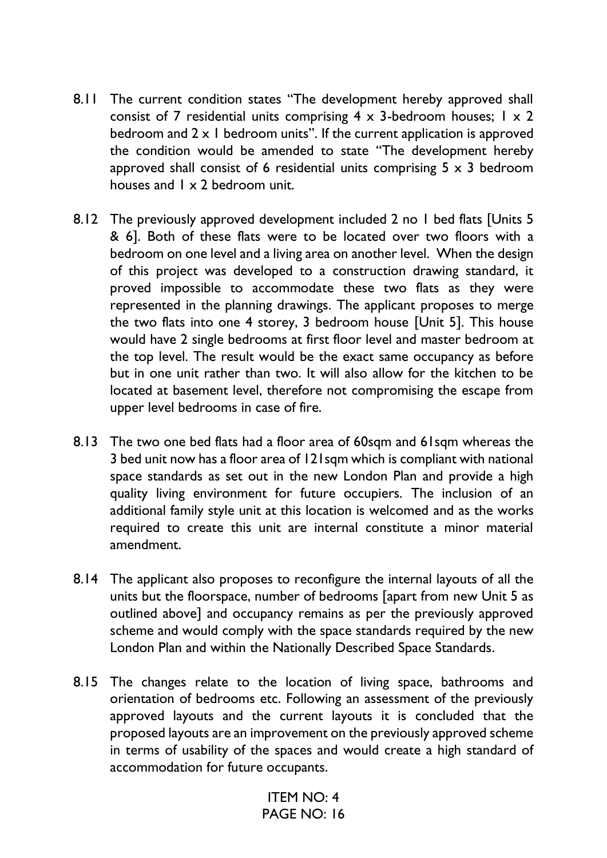- 8.11 The current condition states "The development hereby approved shall consist of 7 residential units comprising  $4 \times 3$ -bedroom houses;  $1 \times 2$ bedroom and  $2 \times 1$  bedroom units". If the current application is approved the condition would be amended to state "The development hereby approved shall consist of 6 residential units comprising  $5 \times 3$  bedroom houses and 1 x 2 bedroom unit.
- 8.12 The previously approved development included 2 no 1 bed flats [Units 5 & 6]. Both of these flats were to be located over two floors with a bedroom on one level and a living area on another level. When the design of this project was developed to a construction drawing standard, it proved impossible to accommodate these two flats as they were represented in the planning drawings. The applicant proposes to merge the two flats into one 4 storey, 3 bedroom house [Unit 5]. This house would have 2 single bedrooms at first floor level and master bedroom at the top level. The result would be the exact same occupancy as before but in one unit rather than two. It will also allow for the kitchen to be located at basement level, therefore not compromising the escape from upper level bedrooms in case of fire.
- 8.13 The two one bed flats had a floor area of 60sqm and 61sqm whereas the 3 bed unit now has a floor area of 121sqm which is compliant with national space standards as set out in the new London Plan and provide a high quality living environment for future occupiers. The inclusion of an additional family style unit at this location is welcomed and as the works required to create this unit are internal constitute a minor material amendment.
- 8.14 The applicant also proposes to reconfigure the internal layouts of all the units but the floorspace, number of bedrooms [apart from new Unit 5 as outlined above] and occupancy remains as per the previously approved scheme and would comply with the space standards required by the new London Plan and within the Nationally Described Space Standards.
- 8.15 The changes relate to the location of living space, bathrooms and orientation of bedrooms etc. Following an assessment of the previously approved layouts and the current layouts it is concluded that the proposed layouts are an improvement on the previously approved scheme in terms of usability of the spaces and would create a high standard of accommodation for future occupants.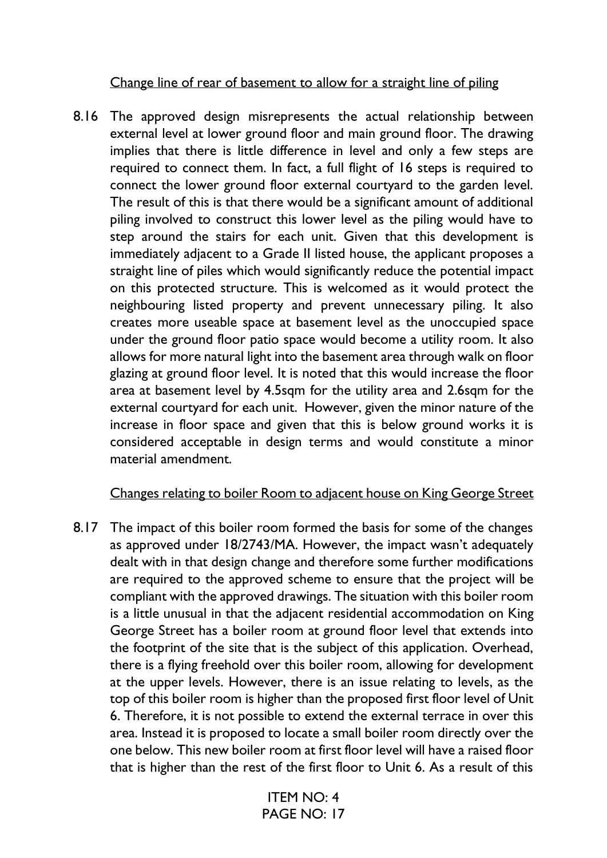Change line of rear of basement to allow for a straight line of piling

8.16 The approved design misrepresents the actual relationship between external level at lower ground floor and main ground floor. The drawing implies that there is little difference in level and only a few steps are required to connect them. In fact, a full flight of 16 steps is required to connect the lower ground floor external courtyard to the garden level. The result of this is that there would be a significant amount of additional piling involved to construct this lower level as the piling would have to step around the stairs for each unit. Given that this development is immediately adjacent to a Grade II listed house, the applicant proposes a straight line of piles which would significantly reduce the potential impact on this protected structure. This is welcomed as it would protect the neighbouring listed property and prevent unnecessary piling. It also creates more useable space at basement level as the unoccupied space under the ground floor patio space would become a utility room. It also allows for more natural light into the basement area through walk on floor glazing at ground floor level. It is noted that this would increase the floor area at basement level by 4.5sqm for the utility area and 2.6sqm for the external courtyard for each unit. However, given the minor nature of the increase in floor space and given that this is below ground works it is considered acceptable in design terms and would constitute a minor material amendment.

# Changes relating to boiler Room to adjacent house on King George Street

8.17 The impact of this boiler room formed the basis for some of the changes as approved under 18/2743/MA. However, the impact wasn't adequately dealt with in that design change and therefore some further modifications are required to the approved scheme to ensure that the project will be compliant with the approved drawings. The situation with this boiler room is a little unusual in that the adjacent residential accommodation on King George Street has a boiler room at ground floor level that extends into the footprint of the site that is the subject of this application. Overhead, there is a flying freehold over this boiler room, allowing for development at the upper levels. However, there is an issue relating to levels, as the top of this boiler room is higher than the proposed first floor level of Unit 6. Therefore, it is not possible to extend the external terrace in over this area. Instead it is proposed to locate a small boiler room directly over the one below. This new boiler room at first floor level will have a raised floor that is higher than the rest of the first floor to Unit 6. As a result of this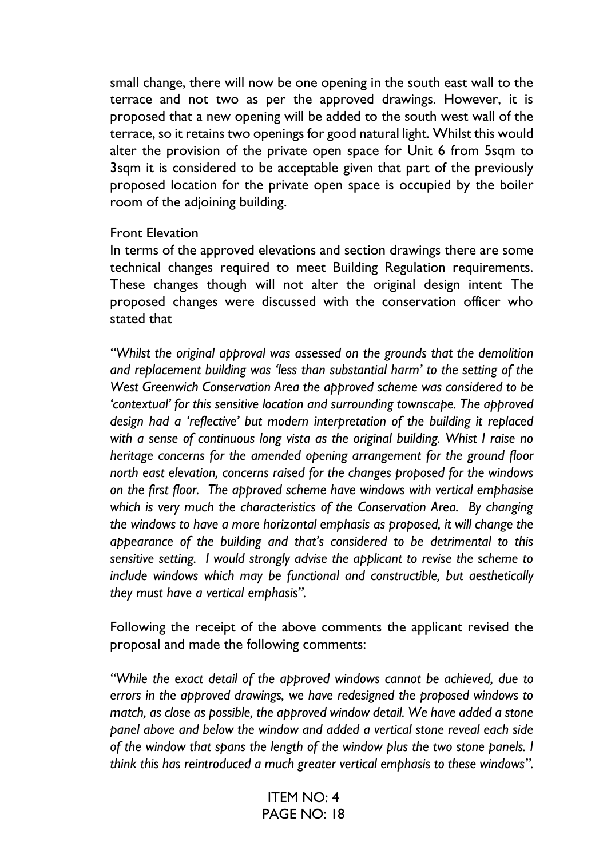small change, there will now be one opening in the south east wall to the terrace and not two as per the approved drawings. However, it is proposed that a new opening will be added to the south west wall of the terrace, so it retains two openings for good natural light. Whilst this would alter the provision of the private open space for Unit 6 from 5sqm to 3sqm it is considered to be acceptable given that part of the previously proposed location for the private open space is occupied by the boiler room of the adjoining building.

#### Front Elevation

In terms of the approved elevations and section drawings there are some technical changes required to meet Building Regulation requirements. These changes though will not alter the original design intent The proposed changes were discussed with the conservation officer who stated that

*"Whilst the original approval was assessed on the grounds that the demolition and replacement building was 'less than substantial harm' to the setting of the West Greenwich Conservation Area the approved scheme was considered to be 'contextual' for this sensitive location and surrounding townscape. The approved design had a 'reflective' but modern interpretation of the building it replaced with a sense of continuous long vista as the original building. Whist I raise no heritage concerns for the amended opening arrangement for the ground floor north east elevation, concerns raised for the changes proposed for the windows on the first floor. The approved scheme have windows with vertical emphasise which is very much the characteristics of the Conservation Area. By changing the windows to have a more horizontal emphasis as proposed, it will change the appearance of the building and that's considered to be detrimental to this sensitive setting. I would strongly advise the applicant to revise the scheme to include windows which may be functional and constructible, but aesthetically they must have a vertical emphasis".*

Following the receipt of the above comments the applicant revised the proposal and made the following comments:

*"While the exact detail of the approved windows cannot be achieved, due to errors in the approved drawings, we have redesigned the proposed windows to match, as close as possible, the approved window detail. We have added a stone panel above and below the window and added a vertical stone reveal each side of the window that spans the length of the window plus the two stone panels. I think this has reintroduced a much greater vertical emphasis to these windows".*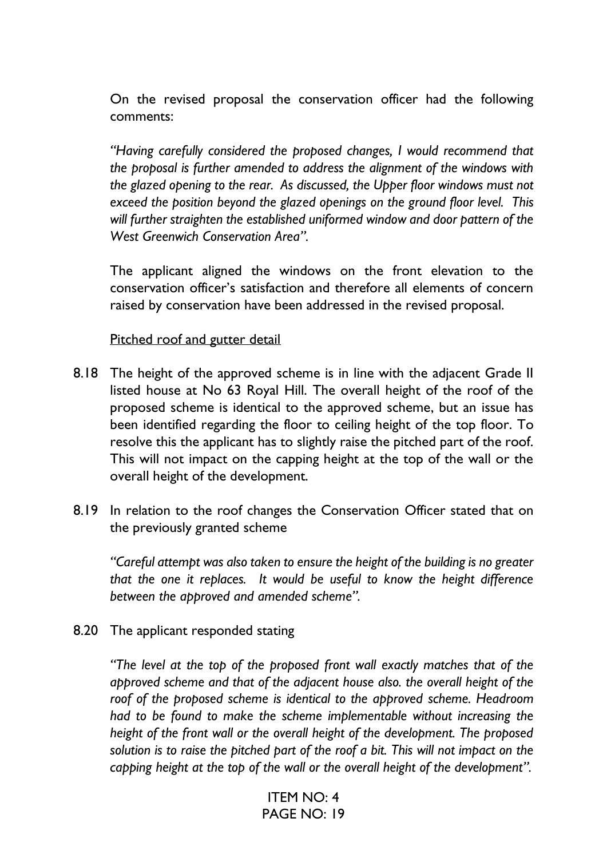On the revised proposal the conservation officer had the following comments:

*"Having carefully considered the proposed changes, I would recommend that the proposal is further amended to address the alignment of the windows with the glazed opening to the rear. As discussed, the Upper floor windows must not exceed the position beyond the glazed openings on the ground floor level. This will further straighten the established uniformed window and door pattern of the West Greenwich Conservation Area".* 

The applicant aligned the windows on the front elevation to the conservation officer's satisfaction and therefore all elements of concern raised by conservation have been addressed in the revised proposal.

#### Pitched roof and gutter detail

- 8.18 The height of the approved scheme is in line with the adjacent Grade II listed house at No 63 Royal Hill. The overall height of the roof of the proposed scheme is identical to the approved scheme, but an issue has been identified regarding the floor to ceiling height of the top floor. To resolve this the applicant has to slightly raise the pitched part of the roof. This will not impact on the capping height at the top of the wall or the overall height of the development.
- 8.19 In relation to the roof changes the Conservation Officer stated that on the previously granted scheme

*"Careful attempt was also taken to ensure the height of the building is no greater that the one it replaces. It would be useful to know the height difference between the approved and amended scheme".*

8.20 The applicant responded stating

*"The level at the top of the proposed front wall exactly matches that of the approved scheme and that of the adjacent house also. the overall height of the*  roof of the proposed scheme is identical to the approved scheme. Headroom *had to be found to make the scheme implementable without increasing the height of the front wall or the overall height of the development. The proposed solution is to raise the pitched part of the roof a bit. This will not impact on the capping height at the top of the wall or the overall height of the development".*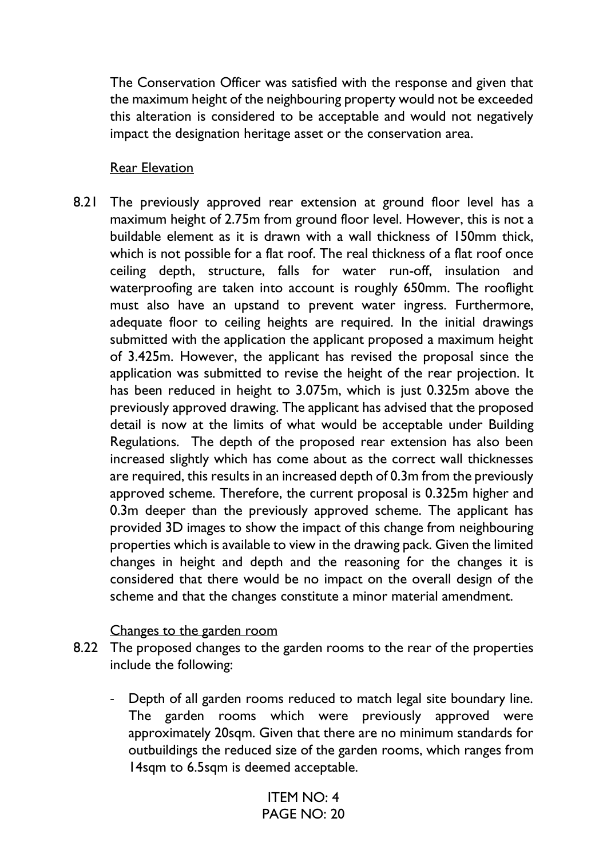The Conservation Officer was satisfied with the response and given that the maximum height of the neighbouring property would not be exceeded this alteration is considered to be acceptable and would not negatively impact the designation heritage asset or the conservation area.

#### Rear Elevation

8.21 The previously approved rear extension at ground floor level has a maximum height of 2.75m from ground floor level. However, this is not a buildable element as it is drawn with a wall thickness of 150mm thick, which is not possible for a flat roof. The real thickness of a flat roof once ceiling depth, structure, falls for water run-off, insulation and waterproofing are taken into account is roughly 650mm. The rooflight must also have an upstand to prevent water ingress. Furthermore, adequate floor to ceiling heights are required. In the initial drawings submitted with the application the applicant proposed a maximum height of 3.425m. However, the applicant has revised the proposal since the application was submitted to revise the height of the rear projection. It has been reduced in height to 3.075m, which is just 0.325m above the previously approved drawing. The applicant has advised that the proposed detail is now at the limits of what would be acceptable under Building Regulations. The depth of the proposed rear extension has also been increased slightly which has come about as the correct wall thicknesses are required, this results in an increased depth of 0.3m from the previously approved scheme. Therefore, the current proposal is 0.325m higher and 0.3m deeper than the previously approved scheme. The applicant has provided 3D images to show the impact of this change from neighbouring properties which is available to view in the drawing pack. Given the limited changes in height and depth and the reasoning for the changes it is considered that there would be no impact on the overall design of the scheme and that the changes constitute a minor material amendment.

#### Changes to the garden room

- 8.22 The proposed changes to the garden rooms to the rear of the properties include the following:
	- Depth of all garden rooms reduced to match legal site boundary line. The garden rooms which were previously approved were approximately 20sqm. Given that there are no minimum standards for outbuildings the reduced size of the garden rooms, which ranges from 14sqm to 6.5sqm is deemed acceptable.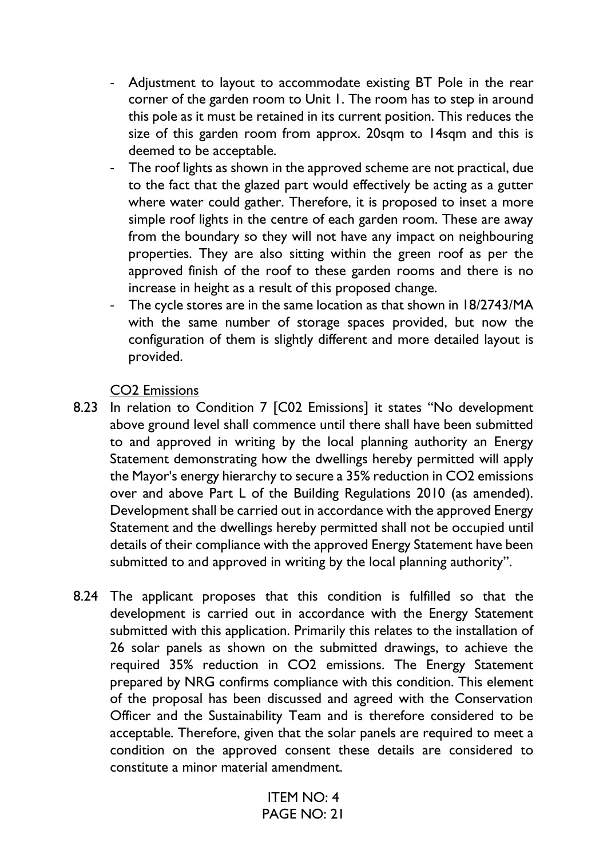- Adjustment to layout to accommodate existing BT Pole in the rear corner of the garden room to Unit 1. The room has to step in around this pole as it must be retained in its current position. This reduces the size of this garden room from approx. 20sqm to 14sqm and this is deemed to be acceptable.
- The roof lights as shown in the approved scheme are not practical, due to the fact that the glazed part would effectively be acting as a gutter where water could gather. Therefore, it is proposed to inset a more simple roof lights in the centre of each garden room. These are away from the boundary so they will not have any impact on neighbouring properties. They are also sitting within the green roof as per the approved finish of the roof to these garden rooms and there is no increase in height as a result of this proposed change.
- The cycle stores are in the same location as that shown in 18/2743/MA with the same number of storage spaces provided, but now the configuration of them is slightly different and more detailed layout is provided.

CO2 Emissions

- 8.23 In relation to Condition 7 [C02 Emissions] it states "No development above ground level shall commence until there shall have been submitted to and approved in writing by the local planning authority an Energy Statement demonstrating how the dwellings hereby permitted will apply the Mayor's energy hierarchy to secure a 35% reduction in CO2 emissions over and above Part L of the Building Regulations 2010 (as amended). Development shall be carried out in accordance with the approved Energy Statement and the dwellings hereby permitted shall not be occupied until details of their compliance with the approved Energy Statement have been submitted to and approved in writing by the local planning authority".
- 8.24 The applicant proposes that this condition is fulfilled so that the development is carried out in accordance with the Energy Statement submitted with this application. Primarily this relates to the installation of 26 solar panels as shown on the submitted drawings, to achieve the required 35% reduction in CO2 emissions. The Energy Statement prepared by NRG confirms compliance with this condition. This element of the proposal has been discussed and agreed with the Conservation Officer and the Sustainability Team and is therefore considered to be acceptable. Therefore, given that the solar panels are required to meet a condition on the approved consent these details are considered to constitute a minor material amendment.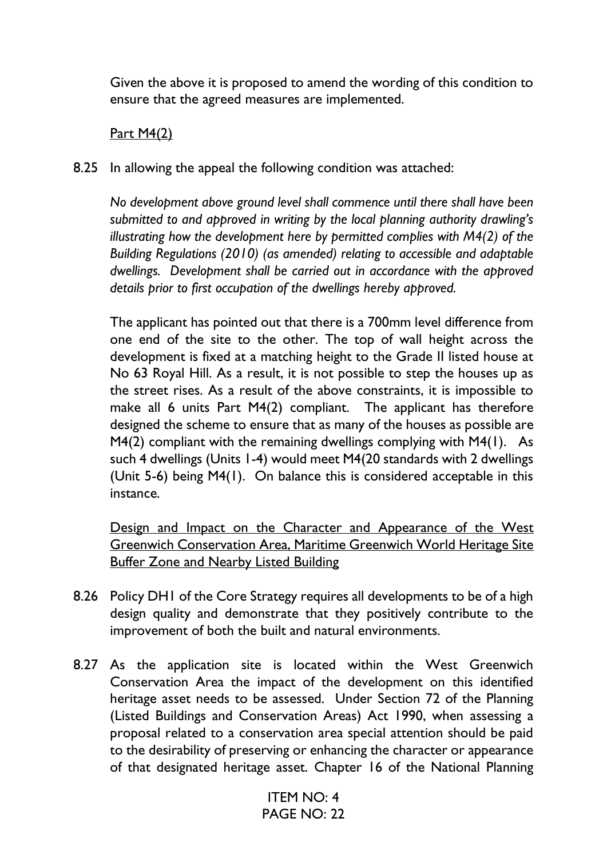Given the above it is proposed to amend the wording of this condition to ensure that the agreed measures are implemented.

# Part M4(2)

8.25 In allowing the appeal the following condition was attached:

*No development above ground level shall commence until there shall have been submitted to and approved in writing by the local planning authority drawling's illustrating how the development here by permitted complies with M4(2) of the Building Regulations (2010) (as amended) relating to accessible and adaptable dwellings. Development shall be carried out in accordance with the approved details prior to first occupation of the dwellings hereby approved.*

The applicant has pointed out that there is a 700mm level difference from one end of the site to the other. The top of wall height across the development is fixed at a matching height to the Grade II listed house at No 63 Royal Hill. As a result, it is not possible to step the houses up as the street rises. As a result of the above constraints, it is impossible to make all 6 units Part M4(2) compliant. The applicant has therefore designed the scheme to ensure that as many of the houses as possible are M4(2) compliant with the remaining dwellings complying with M4(1). As such 4 dwellings (Units 1-4) would meet M4(20 standards with 2 dwellings (Unit 5-6) being M4(1). On balance this is considered acceptable in this instance.

Design and Impact on the Character and Appearance of the West Greenwich Conservation Area, Maritime Greenwich World Heritage Site Buffer Zone and Nearby Listed Building

- 8.26 Policy DH1 of the Core Strategy requires all developments to be of a high design quality and demonstrate that they positively contribute to the improvement of both the built and natural environments.
- 8.27 As the application site is located within the West Greenwich Conservation Area the impact of the development on this identified heritage asset needs to be assessed. Under Section 72 of the Planning (Listed Buildings and Conservation Areas) Act 1990, when assessing a proposal related to a conservation area special attention should be paid to the desirability of preserving or enhancing the character or appearance of that designated heritage asset. Chapter 16 of the National Planning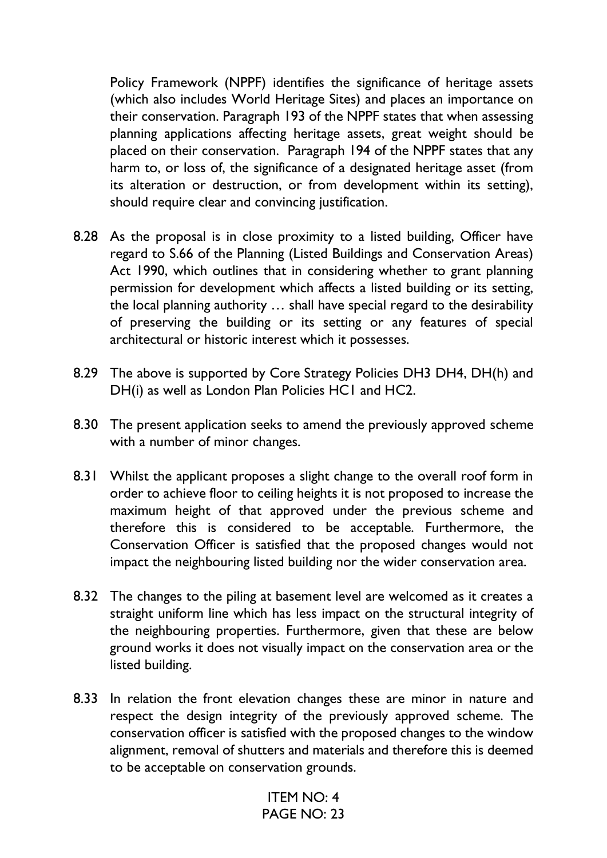Policy Framework (NPPF) identifies the significance of heritage assets (which also includes World Heritage Sites) and places an importance on their conservation. Paragraph 193 of the NPPF states that when assessing planning applications affecting heritage assets, great weight should be placed on their conservation. Paragraph 194 of the NPPF states that any harm to, or loss of, the significance of a designated heritage asset (from its alteration or destruction, or from development within its setting), should require clear and convincing justification.

- 8.28 As the proposal is in close proximity to a listed building, Officer have regard to S.66 of the Planning (Listed Buildings and Conservation Areas) Act 1990, which outlines that in considering whether to grant planning permission for development which affects a listed building or its setting, the local planning authority … shall have special regard to the desirability of preserving the building or its setting or any features of special architectural or historic interest which it possesses.
- 8.29 The above is supported by Core Strategy Policies DH3 DH4, DH(h) and DH(i) as well as London Plan Policies HC1 and HC2.
- 8.30 The present application seeks to amend the previously approved scheme with a number of minor changes.
- 8.31 Whilst the applicant proposes a slight change to the overall roof form in order to achieve floor to ceiling heights it is not proposed to increase the maximum height of that approved under the previous scheme and therefore this is considered to be acceptable. Furthermore, the Conservation Officer is satisfied that the proposed changes would not impact the neighbouring listed building nor the wider conservation area.
- 8.32 The changes to the piling at basement level are welcomed as it creates a straight uniform line which has less impact on the structural integrity of the neighbouring properties. Furthermore, given that these are below ground works it does not visually impact on the conservation area or the listed building.
- 8.33 In relation the front elevation changes these are minor in nature and respect the design integrity of the previously approved scheme. The conservation officer is satisfied with the proposed changes to the window alignment, removal of shutters and materials and therefore this is deemed to be acceptable on conservation grounds.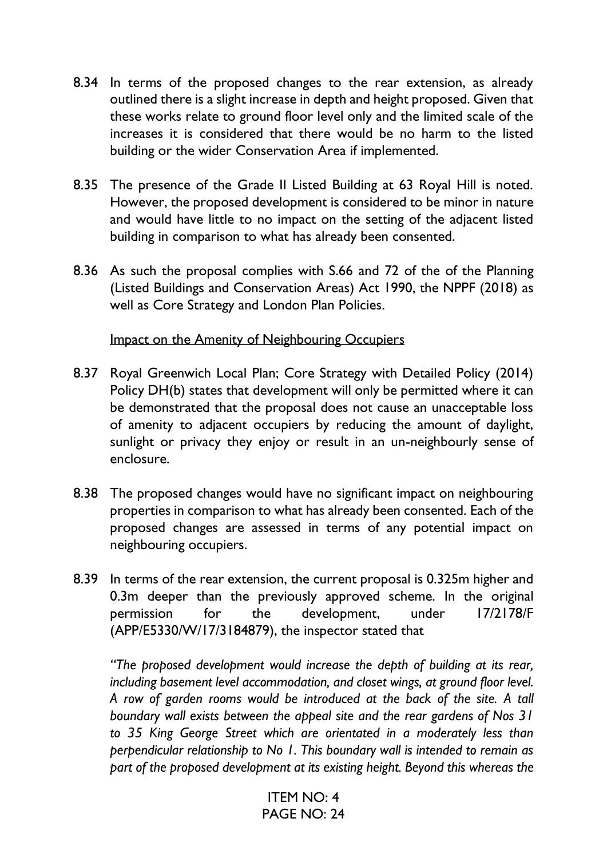- 8.34 In terms of the proposed changes to the rear extension, as already outlined there is a slight increase in depth and height proposed. Given that these works relate to ground floor level only and the limited scale of the increases it is considered that there would be no harm to the listed building or the wider Conservation Area if implemented.
- 8.35 The presence of the Grade II Listed Building at 63 Royal Hill is noted. However, the proposed development is considered to be minor in nature and would have little to no impact on the setting of the adjacent listed building in comparison to what has already been consented.
- 8.36 As such the proposal complies with S.66 and 72 of the of the Planning (Listed Buildings and Conservation Areas) Act 1990, the NPPF (2018) as well as Core Strategy and London Plan Policies.

Impact on the Amenity of Neighbouring Occupiers

- 8.37 Royal Greenwich Local Plan; Core Strategy with Detailed Policy (2014) Policy DH(b) states that development will only be permitted where it can be demonstrated that the proposal does not cause an unacceptable loss of amenity to adjacent occupiers by reducing the amount of daylight, sunlight or privacy they enjoy or result in an un-neighbourly sense of enclosure.
- 8.38 The proposed changes would have no significant impact on neighbouring properties in comparison to what has already been consented. Each of the proposed changes are assessed in terms of any potential impact on neighbouring occupiers.
- 8.39 In terms of the rear extension, the current proposal is 0.325m higher and 0.3m deeper than the previously approved scheme. In the original permission for the development, under 17/2178/F (APP/E5330/W/17/3184879), the inspector stated that

*"The proposed development would increase the depth of building at its rear, including basement level accommodation, and closet wings, at ground floor level. A row of garden rooms would be introduced at the back of the site. A tall boundary wall exists between the appeal site and the rear gardens of Nos 31 to 35 King George Street which are orientated in a moderately less than perpendicular relationship to No 1. This boundary wall is intended to remain as part of the proposed development at its existing height. Beyond this whereas the*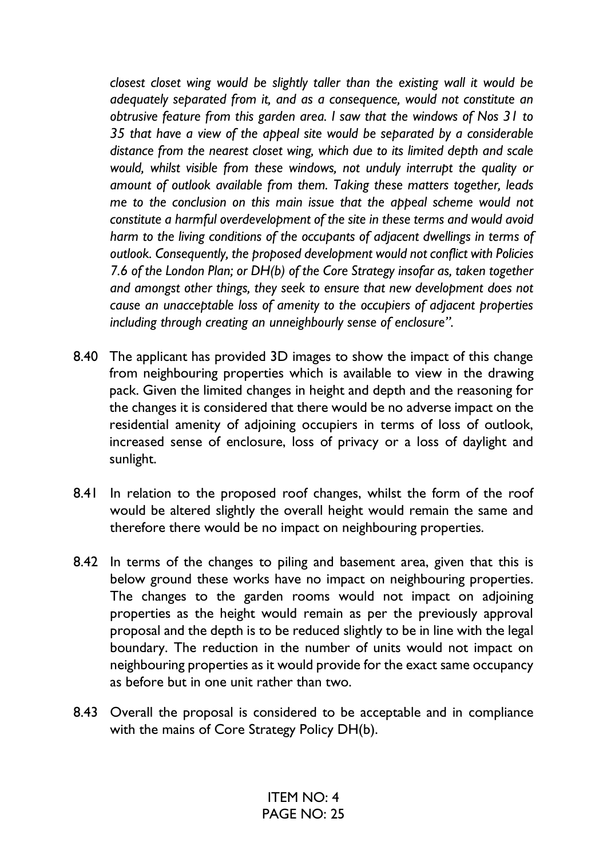*closest closet wing would be slightly taller than the existing wall it would be adequately separated from it, and as a consequence, would not constitute an obtrusive feature from this garden area. I saw that the windows of Nos 31 to 35 that have a view of the appeal site would be separated by a considerable distance from the nearest closet wing, which due to its limited depth and scale would, whilst visible from these windows, not unduly interrupt the quality or amount of outlook available from them. Taking these matters together, leads me to the conclusion on this main issue that the appeal scheme would not constitute a harmful overdevelopment of the site in these terms and would avoid harm to the living conditions of the occupants of adjacent dwellings in terms of outlook. Consequently, the proposed development would not conflict with Policies 7.6 of the London Plan; or DH(b) of the Core Strategy insofar as, taken together and amongst other things, they seek to ensure that new development does not cause an unacceptable loss of amenity to the occupiers of adjacent properties including through creating an unneighbourly sense of enclosure".*

- 8.40 The applicant has provided 3D images to show the impact of this change from neighbouring properties which is available to view in the drawing pack. Given the limited changes in height and depth and the reasoning for the changes it is considered that there would be no adverse impact on the residential amenity of adjoining occupiers in terms of loss of outlook, increased sense of enclosure, loss of privacy or a loss of daylight and sunlight.
- 8.41 In relation to the proposed roof changes, whilst the form of the roof would be altered slightly the overall height would remain the same and therefore there would be no impact on neighbouring properties.
- 8.42 In terms of the changes to piling and basement area, given that this is below ground these works have no impact on neighbouring properties. The changes to the garden rooms would not impact on adjoining properties as the height would remain as per the previously approval proposal and the depth is to be reduced slightly to be in line with the legal boundary. The reduction in the number of units would not impact on neighbouring properties as it would provide for the exact same occupancy as before but in one unit rather than two.
- 8.43 Overall the proposal is considered to be acceptable and in compliance with the mains of Core Strategy Policy DH(b).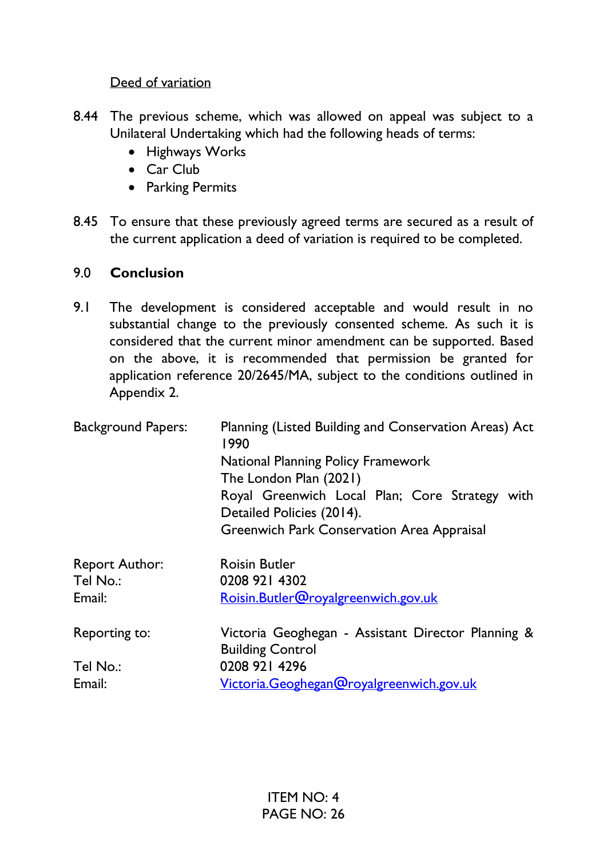Deed of variation

- 8.44 The previous scheme, which was allowed on appeal was subject to a Unilateral Undertaking which had the following heads of terms:
	- Highways Works
	- Car Club
	- Parking Permits
- 8.45 To ensure that these previously agreed terms are secured as a result of the current application a deed of variation is required to be completed.

# 9.0 **Conclusion**

9.1 The development is considered acceptable and would result in no substantial change to the previously consented scheme. As such it is considered that the current minor amendment can be supported. Based on the above, it is recommended that permission be granted for application reference 20/2645/MA, subject to the conditions outlined in Appendix 2.

| <b>Background Papers:</b> | Planning (Listed Building and Conservation Areas) Act<br>1990                 |
|---------------------------|-------------------------------------------------------------------------------|
|                           | <b>National Planning Policy Framework</b>                                     |
|                           | The London Plan (2021)                                                        |
|                           | Royal Greenwich Local Plan; Core Strategy with                                |
|                           | Detailed Policies (2014).                                                     |
|                           | <b>Greenwich Park Conservation Area Appraisal</b>                             |
| <b>Report Author:</b>     | <b>Roisin Butler</b>                                                          |
| Tel No.:                  | 0208 921 4302                                                                 |
| Email:                    | Roisin.Butler@royalgreenwich.gov.uk                                           |
| Reporting to:             | Victoria Geoghegan - Assistant Director Planning &<br><b>Building Control</b> |
| Tel No.:                  | 0208 921 4296                                                                 |
| Email:                    | Victoria.Geoghegan@royalgreenwich.gov.uk                                      |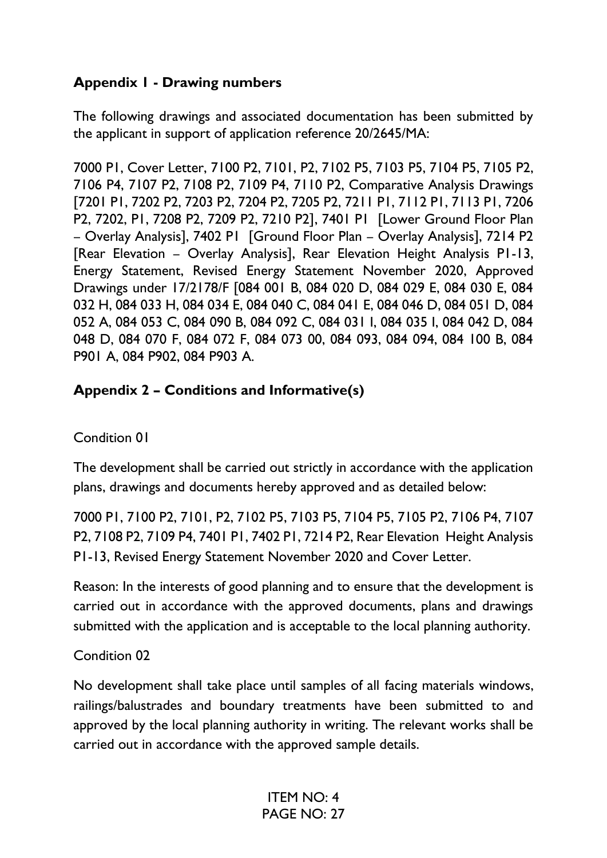# **Appendix 1 - Drawing numbers**

The following drawings and associated documentation has been submitted by the applicant in support of application reference 20/2645/MA:

7000 P1, Cover Letter, 7100 P2, 7101, P2, 7102 P5, 7103 P5, 7104 P5, 7105 P2, 7106 P4, 7107 P2, 7108 P2, 7109 P4, 7110 P2, Comparative Analysis Drawings [7201 P1, 7202 P2, 7203 P2, 7204 P2, 7205 P2, 7211 P1, 7112 P1, 7113 P1, 7206 P2, 7202, P1, 7208 P2, 7209 P2, 7210 P2], 7401 P1 [Lower Ground Floor Plan – Overlay Analysis], 7402 P1 [Ground Floor Plan – Overlay Analysis], 7214 P2 [Rear Elevation – Overlay Analysis], Rear Elevation Height Analysis P1-13, Energy Statement, Revised Energy Statement November 2020, Approved Drawings under 17/2178/F [084 001 B, 084 020 D, 084 029 E, 084 030 E, 084 032 H, 084 033 H, 084 034 E, 084 040 C, 084 041 E, 084 046 D, 084 051 D, 084 052 A, 084 053 C, 084 090 B, 084 092 C, 084 031 I, 084 035 I, 084 042 D, 084 048 D, 084 070 F, 084 072 F, 084 073 00, 084 093, 084 094, 084 100 B, 084 P901 A, 084 P902, 084 P903 A.

# **Appendix 2 – Conditions and Informative(s)**

# Condition 01

The development shall be carried out strictly in accordance with the application plans, drawings and documents hereby approved and as detailed below:

7000 P1, 7100 P2, 7101, P2, 7102 P5, 7103 P5, 7104 P5, 7105 P2, 7106 P4, 7107 P2, 7108 P2, 7109 P4, 7401 P1, 7402 P1, 7214 P2, Rear Elevation Height Analysis P1-13, Revised Energy Statement November 2020 and Cover Letter.

Reason: In the interests of good planning and to ensure that the development is carried out in accordance with the approved documents, plans and drawings submitted with the application and is acceptable to the local planning authority.

# Condition 02

No development shall take place until samples of all facing materials windows, railings/balustrades and boundary treatments have been submitted to and approved by the local planning authority in writing. The relevant works shall be carried out in accordance with the approved sample details.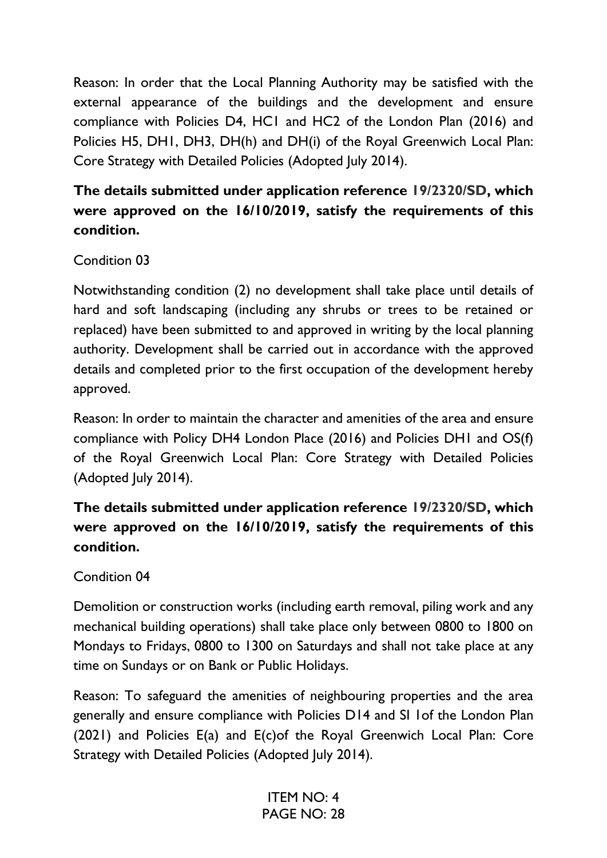Reason: In order that the Local Planning Authority may be satisfied with the external appearance of the buildings and the development and ensure compliance with Policies D4, HC1 and HC2 of the London Plan (2016) and Policies H5, DH1, DH3, DH(h) and DH(i) of the Royal Greenwich Local Plan: Core Strategy with Detailed Policies (Adopted July 2014).

# **The details submitted under application reference 19/2320/SD, which were approved on the 16/10/2019, satisfy the requirements of this condition.**

# Condition 03

Notwithstanding condition (2) no development shall take place until details of hard and soft landscaping (including any shrubs or trees to be retained or replaced) have been submitted to and approved in writing by the local planning authority. Development shall be carried out in accordance with the approved details and completed prior to the first occupation of the development hereby approved.

Reason: In order to maintain the character and amenities of the area and ensure compliance with Policy DH4 London Place (2016) and Policies DH1 and OS(f) of the Royal Greenwich Local Plan: Core Strategy with Detailed Policies (Adopted July 2014).

# **The details submitted under application reference 19/2320/SD, which were approved on the 16/10/2019, satisfy the requirements of this condition.**

# Condition 04

Demolition or construction works (including earth removal, piling work and any mechanical building operations) shall take place only between 0800 to 1800 on Mondays to Fridays, 0800 to 1300 on Saturdays and shall not take place at any time on Sundays or on Bank or Public Holidays.

Reason: To safeguard the amenities of neighbouring properties and the area generally and ensure compliance with Policies D14 and SI 1of the London Plan (2021) and Policies E(a) and E(c)of the Royal Greenwich Local Plan: Core Strategy with Detailed Policies (Adopted July 2014).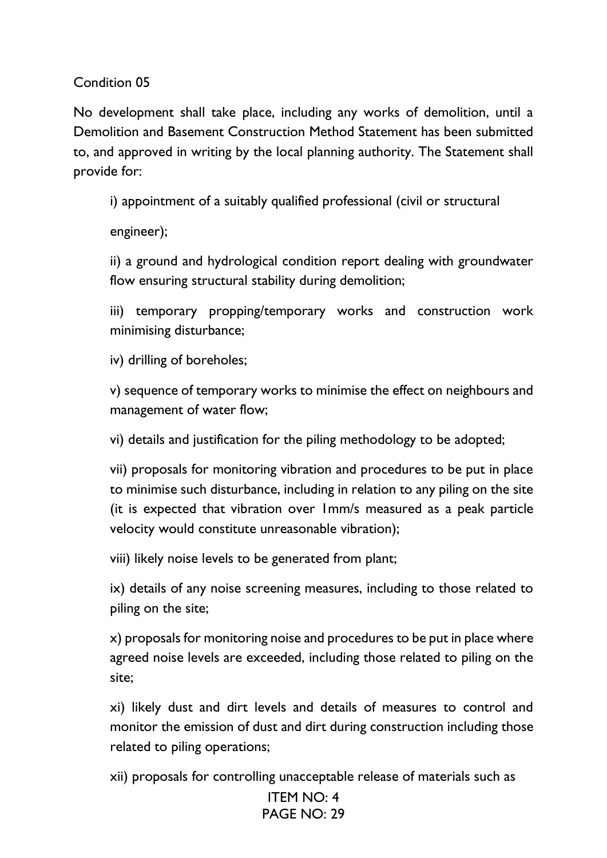Condition 05

No development shall take place, including any works of demolition, until a Demolition and Basement Construction Method Statement has been submitted to, and approved in writing by the local planning authority. The Statement shall provide for:

i) appointment of a suitably qualified professional (civil or structural

engineer);

ii) a ground and hydrological condition report dealing with groundwater flow ensuring structural stability during demolition;

iii) temporary propping/temporary works and construction work minimising disturbance;

iv) drilling of boreholes;

v) sequence of temporary works to minimise the effect on neighbours and management of water flow;

vi) details and justification for the piling methodology to be adopted;

vii) proposals for monitoring vibration and procedures to be put in place to minimise such disturbance, including in relation to any piling on the site (it is expected that vibration over 1mm/s measured as a peak particle velocity would constitute unreasonable vibration);

viii) likely noise levels to be generated from plant;

ix) details of any noise screening measures, including to those related to piling on the site;

x) proposals for monitoring noise and procedures to be put in place where agreed noise levels are exceeded, including those related to piling on the site;

xi) likely dust and dirt levels and details of measures to control and monitor the emission of dust and dirt during construction including those related to piling operations;

xii) proposals for controlling unacceptable release of materials such as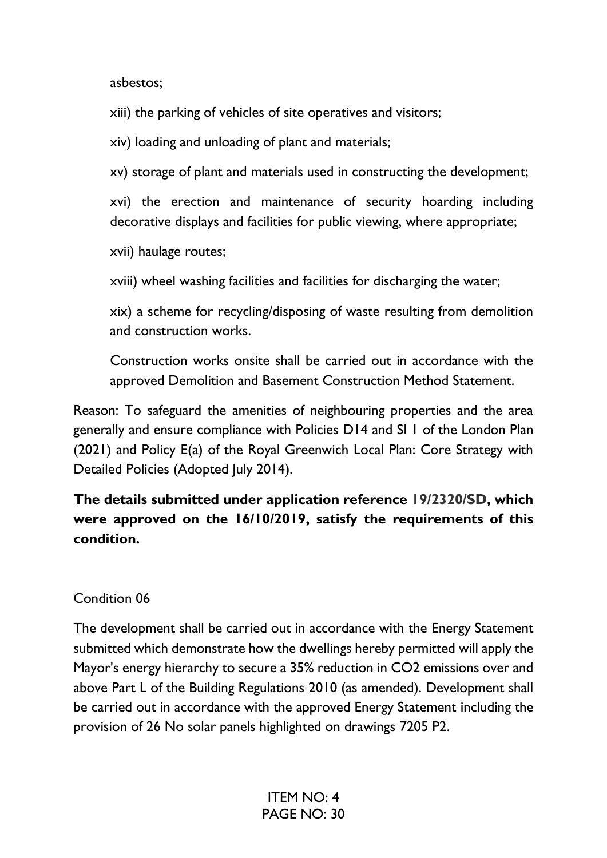asbestos;

xiii) the parking of vehicles of site operatives and visitors;

xiv) loading and unloading of plant and materials;

xv) storage of plant and materials used in constructing the development;

xvi) the erection and maintenance of security hoarding including decorative displays and facilities for public viewing, where appropriate;

xvii) haulage routes;

xviii) wheel washing facilities and facilities for discharging the water;

xix) a scheme for recycling/disposing of waste resulting from demolition and construction works.

Construction works onsite shall be carried out in accordance with the approved Demolition and Basement Construction Method Statement.

Reason: To safeguard the amenities of neighbouring properties and the area generally and ensure compliance with Policies D14 and SI 1 of the London Plan (2021) and Policy E(a) of the Royal Greenwich Local Plan: Core Strategy with Detailed Policies (Adopted July 2014).

# **The details submitted under application reference 19/2320/SD, which were approved on the 16/10/2019, satisfy the requirements of this condition.**

# Condition 06

The development shall be carried out in accordance with the Energy Statement submitted which demonstrate how the dwellings hereby permitted will apply the Mayor's energy hierarchy to secure a 35% reduction in CO2 emissions over and above Part L of the Building Regulations 2010 (as amended). Development shall be carried out in accordance with the approved Energy Statement including the provision of 26 No solar panels highlighted on drawings 7205 P2.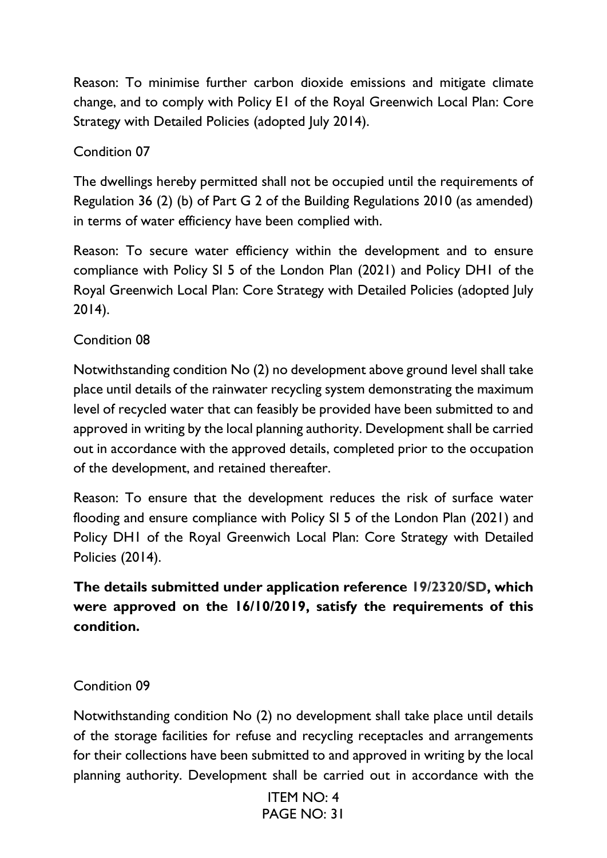Reason: To minimise further carbon dioxide emissions and mitigate climate change, and to comply with Policy E1 of the Royal Greenwich Local Plan: Core Strategy with Detailed Policies (adopted July 2014).

# Condition 07

The dwellings hereby permitted shall not be occupied until the requirements of Regulation 36 (2) (b) of Part G 2 of the Building Regulations 2010 (as amended) in terms of water efficiency have been complied with.

Reason: To secure water efficiency within the development and to ensure compliance with Policy SI 5 of the London Plan (2021) and Policy DH1 of the Royal Greenwich Local Plan: Core Strategy with Detailed Policies (adopted July 2014).

# Condition 08

Notwithstanding condition No (2) no development above ground level shall take place until details of the rainwater recycling system demonstrating the maximum level of recycled water that can feasibly be provided have been submitted to and approved in writing by the local planning authority. Development shall be carried out in accordance with the approved details, completed prior to the occupation of the development, and retained thereafter.

Reason: To ensure that the development reduces the risk of surface water flooding and ensure compliance with Policy SI 5 of the London Plan (2021) and Policy DH1 of the Royal Greenwich Local Plan: Core Strategy with Detailed Policies (2014).

# **The details submitted under application reference 19/2320/SD, which were approved on the 16/10/2019, satisfy the requirements of this condition.**

# Condition 09

Notwithstanding condition No (2) no development shall take place until details of the storage facilities for refuse and recycling receptacles and arrangements for their collections have been submitted to and approved in writing by the local planning authority. Development shall be carried out in accordance with the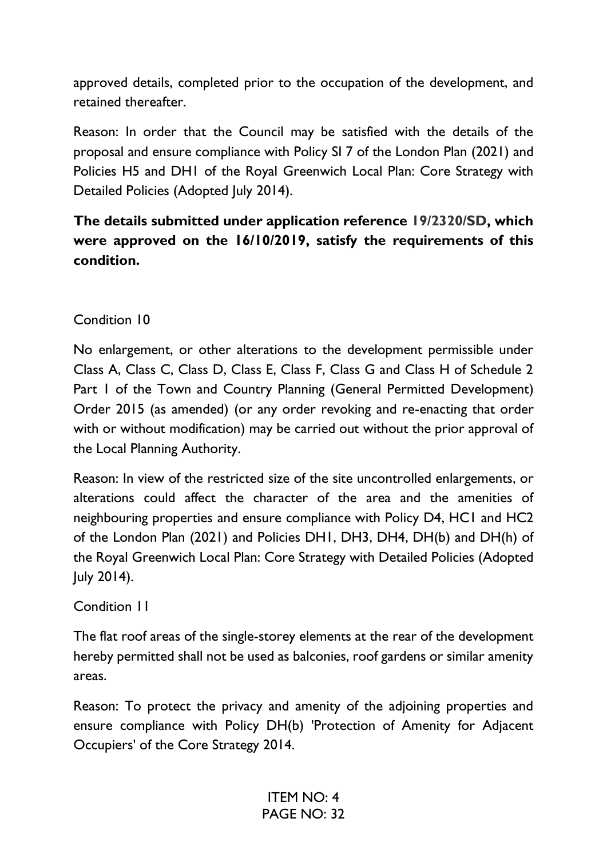approved details, completed prior to the occupation of the development, and retained thereafter.

Reason: In order that the Council may be satisfied with the details of the proposal and ensure compliance with Policy SI 7 of the London Plan (2021) and Policies H5 and DH1 of the Royal Greenwich Local Plan: Core Strategy with Detailed Policies (Adopted July 2014).

# **The details submitted under application reference 19/2320/SD, which were approved on the 16/10/2019, satisfy the requirements of this condition.**

Condition 10

No enlargement, or other alterations to the development permissible under Class A, Class C, Class D, Class E, Class F, Class G and Class H of Schedule 2 Part 1 of the Town and Country Planning (General Permitted Development) Order 2015 (as amended) (or any order revoking and re-enacting that order with or without modification) may be carried out without the prior approval of the Local Planning Authority.

Reason: In view of the restricted size of the site uncontrolled enlargements, or alterations could affect the character of the area and the amenities of neighbouring properties and ensure compliance with Policy D4, HC1 and HC2 of the London Plan (2021) and Policies DH1, DH3, DH4, DH(b) and DH(h) of the Royal Greenwich Local Plan: Core Strategy with Detailed Policies (Adopted July 2014).

Condition 11

The flat roof areas of the single-storey elements at the rear of the development hereby permitted shall not be used as balconies, roof gardens or similar amenity areas.

Reason: To protect the privacy and amenity of the adjoining properties and ensure compliance with Policy DH(b) 'Protection of Amenity for Adjacent Occupiers' of the Core Strategy 2014.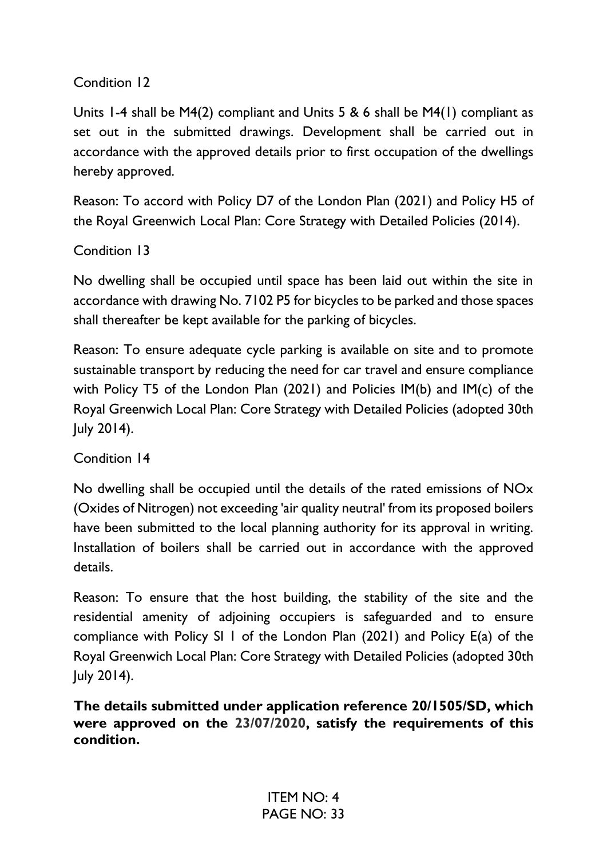# Condition 12

Units 1-4 shall be M4(2) compliant and Units 5 & 6 shall be M4(1) compliant as set out in the submitted drawings. Development shall be carried out in accordance with the approved details prior to first occupation of the dwellings hereby approved.

Reason: To accord with Policy D7 of the London Plan (2021) and Policy H5 of the Royal Greenwich Local Plan: Core Strategy with Detailed Policies (2014).

# Condition 13

No dwelling shall be occupied until space has been laid out within the site in accordance with drawing No. 7102 P5 for bicycles to be parked and those spaces shall thereafter be kept available for the parking of bicycles.

Reason: To ensure adequate cycle parking is available on site and to promote sustainable transport by reducing the need for car travel and ensure compliance with Policy T5 of the London Plan (2021) and Policies IM(b) and IM(c) of the Royal Greenwich Local Plan: Core Strategy with Detailed Policies (adopted 30th July 2014).

Condition 14

No dwelling shall be occupied until the details of the rated emissions of NOx (Oxides of Nitrogen) not exceeding 'air quality neutral' from its proposed boilers have been submitted to the local planning authority for its approval in writing. Installation of boilers shall be carried out in accordance with the approved details.

Reason: To ensure that the host building, the stability of the site and the residential amenity of adjoining occupiers is safeguarded and to ensure compliance with Policy SI 1 of the London Plan (2021) and Policy E(a) of the Royal Greenwich Local Plan: Core Strategy with Detailed Policies (adopted 30th July 2014).

**The details submitted under application reference 20/1505/SD, which were approved on the 23/07/2020, satisfy the requirements of this condition.**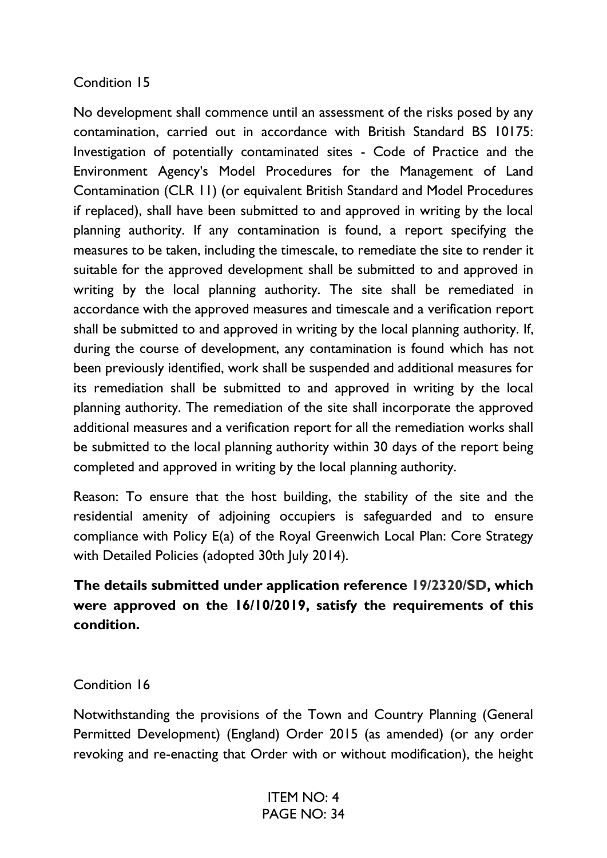### Condition 15

No development shall commence until an assessment of the risks posed by any contamination, carried out in accordance with British Standard BS 10175: Investigation of potentially contaminated sites - Code of Practice and the Environment Agency's Model Procedures for the Management of Land Contamination (CLR 11) (or equivalent British Standard and Model Procedures if replaced), shall have been submitted to and approved in writing by the local planning authority. If any contamination is found, a report specifying the measures to be taken, including the timescale, to remediate the site to render it suitable for the approved development shall be submitted to and approved in writing by the local planning authority. The site shall be remediated in accordance with the approved measures and timescale and a verification report shall be submitted to and approved in writing by the local planning authority. If, during the course of development, any contamination is found which has not been previously identified, work shall be suspended and additional measures for its remediation shall be submitted to and approved in writing by the local planning authority. The remediation of the site shall incorporate the approved additional measures and a verification report for all the remediation works shall be submitted to the local planning authority within 30 days of the report being completed and approved in writing by the local planning authority.

Reason: To ensure that the host building, the stability of the site and the residential amenity of adjoining occupiers is safeguarded and to ensure compliance with Policy E(a) of the Royal Greenwich Local Plan: Core Strategy with Detailed Policies (adopted 30th July 2014).

# **The details submitted under application reference 19/2320/SD, which were approved on the 16/10/2019, satisfy the requirements of this condition.**

#### Condition 16

Notwithstanding the provisions of the Town and Country Planning (General Permitted Development) (England) Order 2015 (as amended) (or any order revoking and re-enacting that Order with or without modification), the height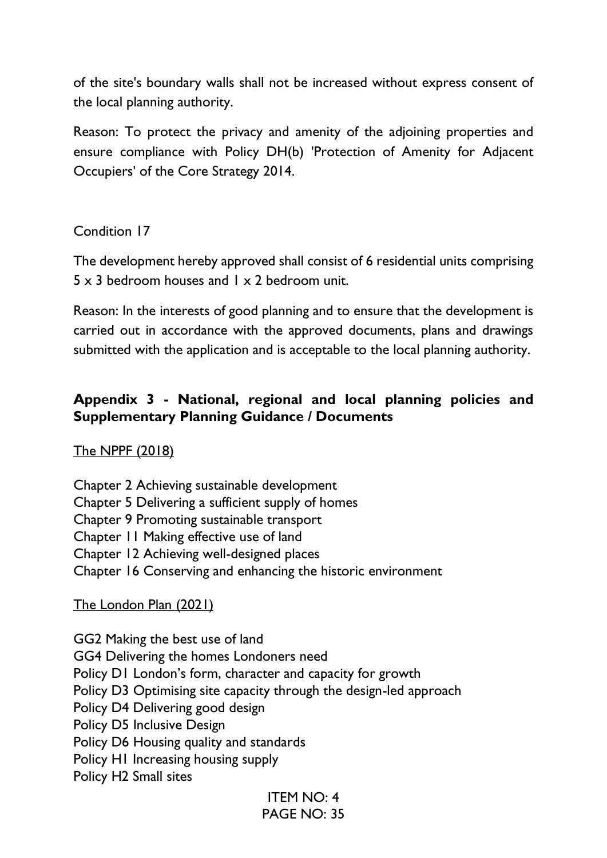of the site's boundary walls shall not be increased without express consent of the local planning authority.

Reason: To protect the privacy and amenity of the adjoining properties and ensure compliance with Policy DH(b) 'Protection of Amenity for Adjacent Occupiers' of the Core Strategy 2014.

Condition 17

The development hereby approved shall consist of 6 residential units comprising  $5 \times 3$  bedroom houses and  $1 \times 2$  bedroom unit.

Reason: In the interests of good planning and to ensure that the development is carried out in accordance with the approved documents, plans and drawings submitted with the application and is acceptable to the local planning authority.

# **Appendix 3 - National, regional and local planning policies and Supplementary Planning Guidance / Documents**

# The NPPF (2018)

Chapter 2 Achieving sustainable development

- Chapter 5 Delivering a sufficient supply of homes
- Chapter 9 Promoting sustainable transport
- Chapter 11 Making effective use of land
- Chapter 12 Achieving well-designed places
- Chapter 16 Conserving and enhancing the historic environment

# The London Plan (2021)

GG2 Making the best use of land GG4 Delivering the homes Londoners need Policy D1 London's form, character and capacity for growth Policy D3 Optimising site capacity through the design-led approach Policy D4 Delivering good design Policy D5 Inclusive Design Policy D6 Housing quality and standards Policy H1 Increasing housing supply Policy H2 Small sites